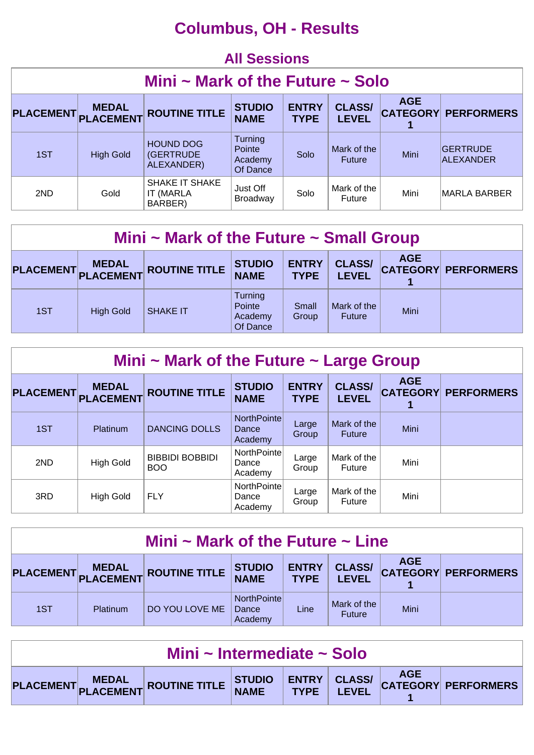### **Columbus, OH - Results**

| <b>All Sessions</b>                        |                                  |                                             |                                          |                             |                               |            |                                     |  |  |  |
|--------------------------------------------|----------------------------------|---------------------------------------------|------------------------------------------|-----------------------------|-------------------------------|------------|-------------------------------------|--|--|--|
| Mini $\sim$ Mark of the Future $\sim$ Solo |                                  |                                             |                                          |                             |                               |            |                                     |  |  |  |
| <b>PLACEMENT</b>                           | <b>MEDAL</b><br><b>PLACEMENT</b> | <b>ROUTINE TITLE</b>                        | <b>STUDIO</b><br><b>NAME</b>             | <b>ENTRY</b><br><b>TYPE</b> | <b>CLASS/</b><br><b>LEVEL</b> | <b>AGE</b> | <b>CATEGORY PERFORMERS</b>          |  |  |  |
| 1ST                                        | <b>High Gold</b>                 | <b>HOUND DOG</b><br>(GERTRUDE<br>ALEXANDER) | Turning<br>Pointe<br>Academy<br>Of Dance | Solo                        | Mark of the<br><b>Future</b>  | Mini       | <b>GERTRUDE</b><br><b>ALEXANDER</b> |  |  |  |
| 2ND                                        | Gold                             | SHAKE IT SHAKE<br>IT (MARLA<br>BARBER)      | Just Off<br><b>Broadway</b>              | Solo                        | Mark of the<br>Future         | Mini       | <b>MARLA BARBER</b>                 |  |  |  |

| Mini $\sim$ Mark of the Future $\sim$ Small Group |                  |                      |                                          |                             |                               |            |                            |  |  |
|---------------------------------------------------|------------------|----------------------|------------------------------------------|-----------------------------|-------------------------------|------------|----------------------------|--|--|
| PLACEMENT MEDAL<br>PLACEMENT PLACEMENT            |                  | <b>ROUTINE TITLE</b> | <b>STUDIO</b><br><b>NAME</b>             | <b>ENTRY</b><br><b>TYPE</b> | <b>CLASS/</b><br><b>LEVEL</b> | <b>AGE</b> | <b>CATEGORY PERFORMERS</b> |  |  |
| 1ST                                               | <b>High Gold</b> | <b>SHAKE IT</b>      | Turning<br>Pointe<br>Academy<br>Of Dance | Small<br>Group              | Mark of the<br><b>Future</b>  | Mini       |                            |  |  |

| Mini $\sim$ Mark of the Future $\sim$ Large Group |                                  |                                      |                                  |                             |                               |            |                            |  |  |  |
|---------------------------------------------------|----------------------------------|--------------------------------------|----------------------------------|-----------------------------|-------------------------------|------------|----------------------------|--|--|--|
| <b>PLACEMENT</b>                                  | <b>MEDAL</b><br><b>PLACEMENT</b> | <b>ROUTINE TITLE</b>                 | <b>STUDIO</b><br><b>NAME</b>     | <b>ENTRY</b><br><b>TYPE</b> | <b>CLASS/</b><br><b>LEVEL</b> | <b>AGE</b> | <b>CATEGORY PERFORMERS</b> |  |  |  |
| 1ST                                               | Platinum                         | <b>DANCING DOLLS</b>                 | NorthPointel<br>Dance<br>Academy | Large<br>Group              | Mark of the<br><b>Future</b>  | Mini       |                            |  |  |  |
| 2ND                                               | <b>High Gold</b>                 | <b>BIBBIDI BOBBIDI</b><br><b>BOO</b> | NorthPointe<br>Dance<br>Academy  | Large<br>Group              | Mark of the<br>Future         | Mini       |                            |  |  |  |
| 3RD                                               | <b>High Gold</b>                 | <b>FLY</b>                           | NorthPointe<br>Dance<br>Academy  | Large<br>Group              | Mark of the<br>Future         | Mini       |                            |  |  |  |

| Mini ~ Mark of the Future ~ Line |          |                               |                                 |                             |                               |            |                     |  |  |
|----------------------------------|----------|-------------------------------|---------------------------------|-----------------------------|-------------------------------|------------|---------------------|--|--|
|                                  |          | PLACEMENT MEDAL ROUTINE TITLE | <b>STUDIO<br/>NAME</b>          | <b>ENTRY</b><br><b>TYPE</b> | <b>CLASS/</b><br><b>LEVEL</b> | <b>AGE</b> | CATEGORY PERFORMERS |  |  |
| 1ST                              | Platinum | DO YOU LOVE ME                | NorthPointe<br>Dance<br>Academy | Line                        | Mark of the<br><b>Future</b>  | Mini       |                     |  |  |

| Mini ~ Intermediate ~ Solo |  |                                                                      |  |  |  |  |  |  |  |
|----------------------------|--|----------------------------------------------------------------------|--|--|--|--|--|--|--|
|                            |  | PLACEMENT MEDAL ROUTINE TITLE STUDIO ENTRY CLASS/ AGE AGE PERFORMERS |  |  |  |  |  |  |  |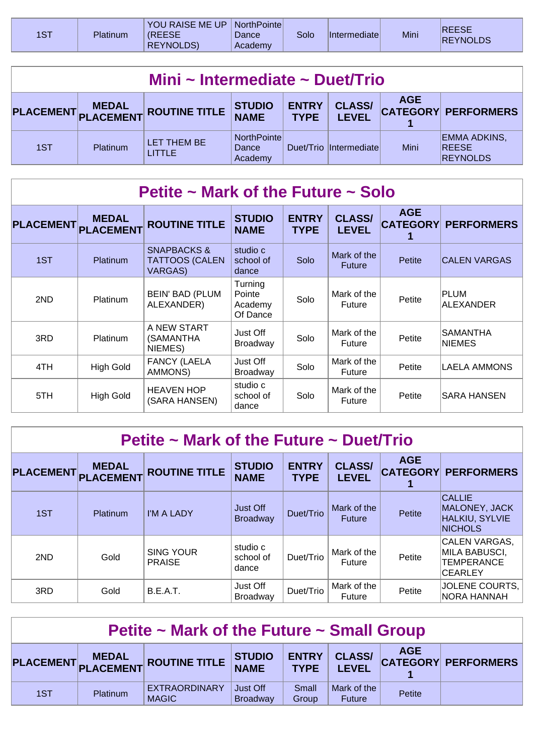| <b>IST</b> | Platinum | YOU RAISE ME UP<br><b>(REESE</b><br><b>REYNOLDS)</b> | NorthPointe <br>Dance<br>Academy | <b>Solo</b> | <b>Intermediatel</b> | Mini | <b>REESE</b><br><b>REYNOLDS</b> |
|------------|----------|------------------------------------------------------|----------------------------------|-------------|----------------------|------|---------------------------------|
|------------|----------|------------------------------------------------------|----------------------------------|-------------|----------------------|------|---------------------------------|

| Mini ~ Intermediate ~ Duet/Trio |                 |                               |                                 |                             |                               |            |                                                        |  |  |
|---------------------------------|-----------------|-------------------------------|---------------------------------|-----------------------------|-------------------------------|------------|--------------------------------------------------------|--|--|
|                                 |                 | PLACEMENT MEDAL ROUTINE TITLE | <b>STUDIO</b><br><b>NAME</b>    | <b>ENTRY</b><br><b>TYPE</b> | <b>CLASS/</b><br><b>LEVEL</b> | <b>AGE</b> | <b>CATEGORY PERFORMERS</b>                             |  |  |
| 1ST                             | <b>Platinum</b> | LET THEM BE<br><b>LITTLE</b>  | NorthPointe<br>Dance<br>Academy |                             | Duet/Trio Intermediate        | Mini       | <b>EMMA ADKINS,</b><br><b>REESE</b><br><b>REYNOLDS</b> |  |  |

| Petite $\sim$ Mark of the Future $\sim$ Solo |  |  |  |  |
|----------------------------------------------|--|--|--|--|
|----------------------------------------------|--|--|--|--|

| <b>PLACEMENT</b> | <b>MEDAL</b><br><b>PLACEMENT</b> | <b>ROUTINE TITLE</b>                                   | <b>STUDIO</b><br><b>NAME</b>             | <b>ENTRY</b><br><b>TYPE</b> | <b>CLASS/</b><br><b>LEVEL</b> | <b>AGE</b><br><b>CATEGORY</b> | <b>PERFORMERS</b>         |
|------------------|----------------------------------|--------------------------------------------------------|------------------------------------------|-----------------------------|-------------------------------|-------------------------------|---------------------------|
| 1ST              | <b>Platinum</b>                  | SNAPBACKS &<br><b>TATTOOS (CALEN</b><br><b>VARGAS)</b> | studio c<br>school of<br>dance           | Solo                        | Mark of the<br><b>Future</b>  | Petite                        | <b>CALEN VARGAS</b>       |
| 2ND              | Platinum                         | <b>BEIN' BAD (PLUM</b><br>ALEXANDER)                   | Turning<br>Pointe<br>Academy<br>Of Dance | Solo                        | Mark of the<br>Future         | Petite                        | PLUM<br><b>ALEXANDER</b>  |
| 3RD              | Platinum                         | A NEW START<br>(SAMANTHA<br>NIEMES)                    | Just Off<br><b>Broadway</b>              | Solo                        | Mark of the<br>Future         | Petite                        | SAMANTHA<br><b>NIEMES</b> |
| 4TH              | <b>High Gold</b>                 | <b>FANCY (LAELA</b><br>AMMONS)                         | Just Off<br>Broadway                     | Solo                        | Mark of the<br>Future         | Petite                        | LAELA AMMONS              |
| 5TH              | <b>High Gold</b>                 | <b>HEAVEN HOP</b><br>(SARA HANSEN)                     | studio c<br>school of<br>dance           | Solo                        | Mark of the<br>Future         | Petite                        | <b>SARA HANSEN</b>        |

| Petite $\sim$ Mark of the Future $\sim$ Duet/Trio |                           |                                   |                                |                             |                               |            |                                                                           |  |  |  |
|---------------------------------------------------|---------------------------|-----------------------------------|--------------------------------|-----------------------------|-------------------------------|------------|---------------------------------------------------------------------------|--|--|--|
| <b>PLACEMENT</b>                                  | <b>MEDAL</b><br>PLACEMENT | <b>ROUTINE TITLE</b>              | <b>STUDIO</b><br><b>NAME</b>   | <b>ENTRY</b><br><b>TYPE</b> | <b>CLASS/</b><br><b>LEVEL</b> | <b>AGE</b> | <b>CATEGORY PERFORMERS</b>                                                |  |  |  |
| 1ST                                               | <b>Platinum</b>           | I'M A LADY                        | Just Off<br><b>Broadway</b>    | Duet/Trio                   | Mark of the<br><b>Future</b>  | Petite     | <b>CALLIE</b><br>MALONEY, JACK<br><b>HALKIU, SYLVIE</b><br><b>NICHOLS</b> |  |  |  |
| 2ND                                               | Gold                      | <b>SING YOUR</b><br><b>PRAISE</b> | studio c<br>school of<br>dance | Duet/Trio                   | Mark of the<br>Future         | Petite     | CALEN VARGAS,<br>MILA BABUSCI,<br>TEMPERANCE<br><b>CEARLEY</b>            |  |  |  |
| 3RD                                               | Gold                      | <b>B.E.A.T.</b>                   | Just Off<br>Broadway           | Duet/Trio                   | Mark of the<br>Future         | Petite     | JOLENE COURTS,<br><b>NORA HANNAH</b>                                      |  |  |  |

| Petite $\sim$ Mark of the Future $\sim$ Small Group |                 |                                      |                             |                             |                              |            |                            |  |  |
|-----------------------------------------------------|-----------------|--------------------------------------|-----------------------------|-----------------------------|------------------------------|------------|----------------------------|--|--|
|                                                     |                 | PLACEMENT MEDAL ROUTINE TITLE STUDIO |                             | <b>ENTRY</b><br><b>TYPE</b> |                              | <b>AGE</b> | CLASS/ CATEGORY PERFORMERS |  |  |
| 1ST                                                 | <b>Platinum</b> | <b>EXTRAORDINARY</b><br><b>MAGIC</b> | Just Off<br><b>Broadway</b> | Small<br>Group              | Mark of the<br><b>Future</b> | Petite     |                            |  |  |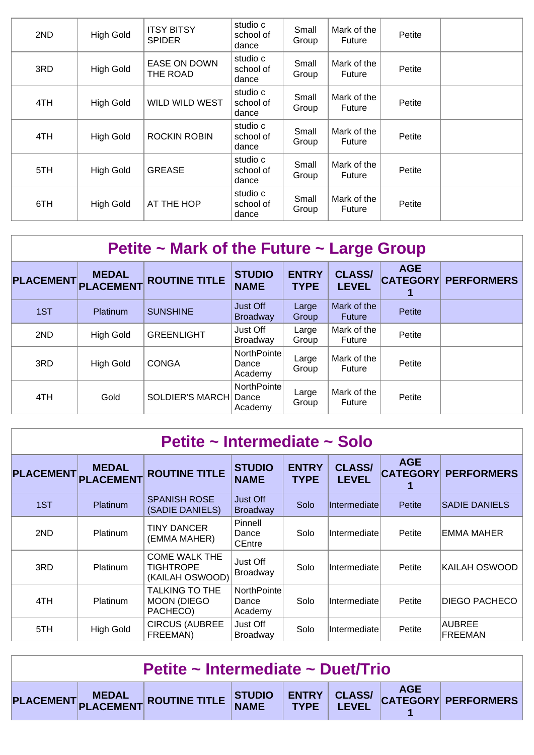| 2ND | <b>High Gold</b> | <b>ITSY BITSY</b><br><b>SPIDER</b> | studio c<br>school of<br>dance | Small<br>Group | Mark of the<br><b>Future</b> | Petite |  |
|-----|------------------|------------------------------------|--------------------------------|----------------|------------------------------|--------|--|
| 3RD | <b>High Gold</b> | <b>EASE ON DOWN</b><br>THE ROAD    | studio c<br>school of<br>dance | Small<br>Group | Mark of the<br>Future        | Petite |  |
| 4TH | <b>High Gold</b> | <b>WILD WILD WEST</b>              | studio c<br>school of<br>dance | Small<br>Group | Mark of the<br>Future        | Petite |  |
| 4TH | <b>High Gold</b> | <b>ROCKIN ROBIN</b>                | studio c<br>school of<br>dance | Small<br>Group | Mark of the<br>Future        | Petite |  |
| 5TH | <b>High Gold</b> | <b>GREASE</b>                      | studio c<br>school of<br>dance | Small<br>Group | Mark of the<br>Future        | Petite |  |
| 6TH | <b>High Gold</b> | AT THE HOP                         | studio c<br>school of<br>dance | Small<br>Group | Mark of the<br>Future        | Petite |  |

| Petite $\sim$ Mark of the Future $\sim$ Large Group |                           |                      |                                 |                             |                               |            |                            |  |  |  |
|-----------------------------------------------------|---------------------------|----------------------|---------------------------------|-----------------------------|-------------------------------|------------|----------------------------|--|--|--|
| <b>PLACEMENT</b>                                    | <b>MEDAL</b><br>PLACEMENT | <b>ROUTINE TITLE</b> | <b>STUDIO</b><br><b>NAME</b>    | <b>ENTRY</b><br><b>TYPE</b> | <b>CLASS/</b><br><b>LEVEL</b> | <b>AGE</b> | <b>CATEGORY PERFORMERS</b> |  |  |  |
| 1ST                                                 | <b>Platinum</b>           | <b>SUNSHINE</b>      | Just Off<br><b>Broadway</b>     | Large<br>Group              | Mark of the<br><b>Future</b>  | Petite     |                            |  |  |  |
| 2ND                                                 | <b>High Gold</b>          | <b>GREENLIGHT</b>    | Just Off<br><b>Broadway</b>     | Large<br>Group              | Mark of the<br>Future         | Petite     |                            |  |  |  |
| 3RD                                                 | <b>High Gold</b>          | <b>CONGA</b>         | NorthPointe<br>Dance<br>Academy | Large<br>Group              | Mark of the<br>Future         | Petite     |                            |  |  |  |
| 4TH                                                 | Gold                      | SOLDIER'S MARCH      | NorthPointe<br>Dance<br>Academy | Large<br>Group              | Mark of the<br>Future         | Petite     |                            |  |  |  |

| Petite ~ Intermediate ~ Solo |                                  |                                                             |                                   |                             |                               |                               |                                 |  |  |  |  |
|------------------------------|----------------------------------|-------------------------------------------------------------|-----------------------------------|-----------------------------|-------------------------------|-------------------------------|---------------------------------|--|--|--|--|
| <b>PLACEMENT</b>             | <b>MEDAL</b><br><b>PLACEMENT</b> | <b>ROUTINE TITLE</b>                                        | <b>STUDIO</b><br><b>NAME</b>      | <b>ENTRY</b><br><b>TYPE</b> | <b>CLASS/</b><br><b>LEVEL</b> | <b>AGE</b><br><b>CATEGORY</b> | <b>PERFORMERS</b>               |  |  |  |  |
| 1ST                          | <b>Platinum</b>                  | <b>SPANISH ROSE</b><br>(SADIE DANIELS)                      | Just Off<br><b>Broadway</b>       | Solo                        | Intermediate                  | Petite                        | <b>SADIE DANIELS</b>            |  |  |  |  |
| 2ND                          | <b>Platinum</b>                  | <b>TINY DANCER</b><br>(EMMA MAHER)                          | Pinnell<br>Dance<br><b>CEntre</b> | Solo                        | Intermediate                  | Petite                        | <b>EMMA MAHER</b>               |  |  |  |  |
| 3RD                          | <b>Platinum</b>                  | <b>COME WALK THE</b><br><b>TIGHTROPE</b><br>(KAILAH OSWOOD) | Just Off<br>Broadway              | Solo                        | Intermediate                  | Petite                        | KAILAH OSWOOD                   |  |  |  |  |
| 4TH                          | Platinum                         | TALKING TO THE<br><b>MOON (DIEGO)</b><br>PACHECO)           | NorthPointe<br>Dance<br>Academy   | Solo                        | Intermediate                  | Petite                        | <b>DIEGO PACHECO</b>            |  |  |  |  |
| 5TH                          | <b>High Gold</b>                 | <b>CIRCUS (AUBREE</b><br>FREEMAN)                           | Just Off<br>Broadway              | Solo                        | Intermediate                  | Petite                        | <b>AUBREE</b><br><b>FREEMAN</b> |  |  |  |  |

| Petite ~ Intermediate ~ Duet/Trio |  |                                                                      |  |  |  |  |  |  |  |
|-----------------------------------|--|----------------------------------------------------------------------|--|--|--|--|--|--|--|
|                                   |  | PLACEMENT MEDAL ROUTINE TITLE STUDIO ENTRY CLASS/ AGE AGE PERFORMERS |  |  |  |  |  |  |  |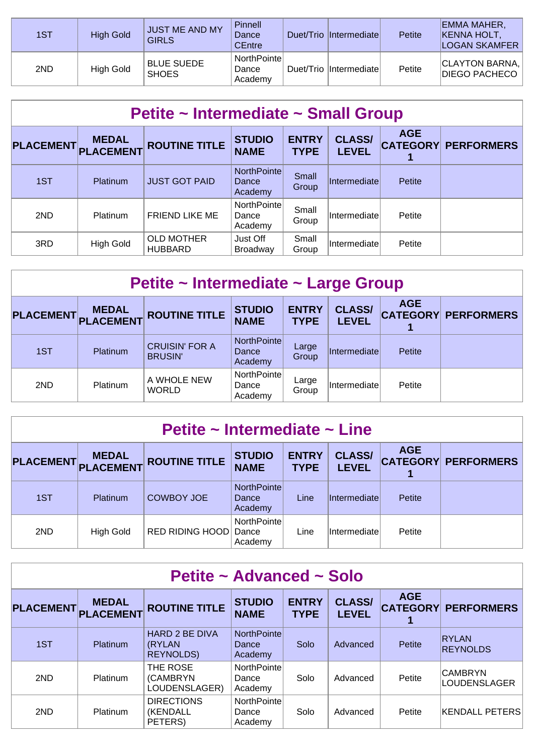| 1ST | <b>High Gold</b> | <b>JUST ME AND MY</b><br><b>GIRLS</b> | Pinnell<br>Dance<br><b>CEntre</b> | Duet/Trio Intermediate | Petite | EMMA MAHER,<br><b>KENNA HOLT,</b><br><b>LOGAN SKAMFER</b> |
|-----|------------------|---------------------------------------|-----------------------------------|------------------------|--------|-----------------------------------------------------------|
| 2ND | High Gold        | <b>BLUE SUEDE</b><br><b>SHOES</b>     | NorthPointel<br>Dance<br>Academy  | Duet/Trio Intermediate | Petite | <b>CLAYTON BARNA,</b><br><b>DIEGO PACHECO</b>             |

| Petite ~ Intermediate ~ Small Group |                           |                                     |                                  |                             |                               |            |                            |  |  |  |
|-------------------------------------|---------------------------|-------------------------------------|----------------------------------|-----------------------------|-------------------------------|------------|----------------------------|--|--|--|
| <b>PLACEMENT</b>                    | <b>MEDAL</b><br>PLACEMENT | <b>ROUTINE TITLE</b>                | <b>STUDIO</b><br><b>NAME</b>     | <b>ENTRY</b><br><b>TYPE</b> | <b>CLASS/</b><br><b>LEVEL</b> | <b>AGE</b> | <b>CATEGORY PERFORMERS</b> |  |  |  |
| 1ST                                 | <b>Platinum</b>           | <b>JUST GOT PAID</b>                | NorthPointel<br>Dance<br>Academy | Small<br>Group              | Intermediate                  | Petite     |                            |  |  |  |
| 2ND                                 | <b>Platinum</b>           | <b>FRIEND LIKE ME</b>               | NorthPointel<br>Dance<br>Academy | Small<br>Group              | Intermediate                  | Petite     |                            |  |  |  |
| 3RD                                 | <b>High Gold</b>          | <b>OLD MOTHER</b><br><b>HUBBARD</b> | Just Off<br><b>Broadway</b>      | Small<br>Group              | Intermediate                  | Petite     |                            |  |  |  |

| Petite ~ Intermediate ~ Large Group |                                  |                                         |                                 |                             |                               |            |                            |  |  |  |
|-------------------------------------|----------------------------------|-----------------------------------------|---------------------------------|-----------------------------|-------------------------------|------------|----------------------------|--|--|--|
| <b>PLACEMENT</b>                    | <b>MEDAL</b><br><b>PLACEMENT</b> | <b>ROUTINE TITLE</b>                    | <b>STUDIO</b><br><b>NAME</b>    | <b>ENTRY</b><br><b>TYPE</b> | <b>CLASS/</b><br><b>LEVEL</b> | <b>AGE</b> | <b>CATEGORY PERFORMERS</b> |  |  |  |
| 1ST                                 | Platinum                         | <b>CRUISIN' FOR A</b><br><b>BRUSIN'</b> | NorthPointe<br>Dance<br>Academy | Large<br>Group              | Intermediate                  | Petite     |                            |  |  |  |
| 2ND                                 | Platinum                         | A WHOLE NEW<br><b>WORLD</b>             | NorthPointe<br>Dance<br>Academy | Large<br>Group              | Intermediate                  | Petite     |                            |  |  |  |

| Petite $\sim$ Intermediate $\sim$ Line |                           |                        |                                 |                             |                               |            |                            |  |  |  |
|----------------------------------------|---------------------------|------------------------|---------------------------------|-----------------------------|-------------------------------|------------|----------------------------|--|--|--|
| <b>PLACEMENT</b>                       | <b>MEDAL</b><br>PLACEMENT | <b>ROUTINE TITLE</b>   | <b>STUDIO</b><br><b>NAME</b>    | <b>ENTRY</b><br><b>TYPE</b> | <b>CLASS/</b><br><b>LEVEL</b> | <b>AGE</b> | <b>CATEGORY PERFORMERS</b> |  |  |  |
| 1ST                                    | <b>Platinum</b>           | <b>COWBOY JOE</b>      | NorthPointe<br>Dance<br>Academy | Line                        | Intermediate                  | Petite     |                            |  |  |  |
| 2ND                                    | <b>High Gold</b>          | <b>RED RIDING HOOD</b> | NorthPointe<br>Dance<br>Academy | Line                        | Intermediate                  | Petite     |                            |  |  |  |

| Petite ~ Advanced ~ Solo |                                  |                                                     |                                        |                             |                               |            |                                 |  |  |  |
|--------------------------|----------------------------------|-----------------------------------------------------|----------------------------------------|-----------------------------|-------------------------------|------------|---------------------------------|--|--|--|
| <b>PLACEMENT</b>         | <b>MEDAL</b><br><b>PLACEMENT</b> | <b>ROUTINE TITLE</b>                                | <b>STUDIO</b><br><b>NAME</b>           | <b>ENTRY</b><br><b>TYPE</b> | <b>CLASS/</b><br><b>LEVEL</b> | <b>AGE</b> | <b>CATEGORY PERFORMERS</b>      |  |  |  |
| 1ST                      | Platinum                         | <b>HARD 2 BE DIVA</b><br>(RYLAN<br><b>REYNOLDS)</b> | <b>NorthPointe</b><br>Dance<br>Academy | Solo                        | Advanced                      | Petite     | <b>RYLAN</b><br><b>REYNOLDS</b> |  |  |  |
| 2ND                      | Platinum                         | THE ROSE<br>(CAMBRYN<br>LOUDENSLAGER)               | <b>NorthPointe</b><br>Dance<br>Academy | Solo                        | Advanced                      | Petite     | <b>CAMBRYN</b><br>LOUDENSLAGER  |  |  |  |
| 2ND                      | Platinum                         | <b>DIRECTIONS</b><br>(KENDALL<br>PETERS)            | NorthPointe<br>Dance<br>Academy        | Solo                        | Advanced                      | Petite     | <b>KENDALL PETERS</b>           |  |  |  |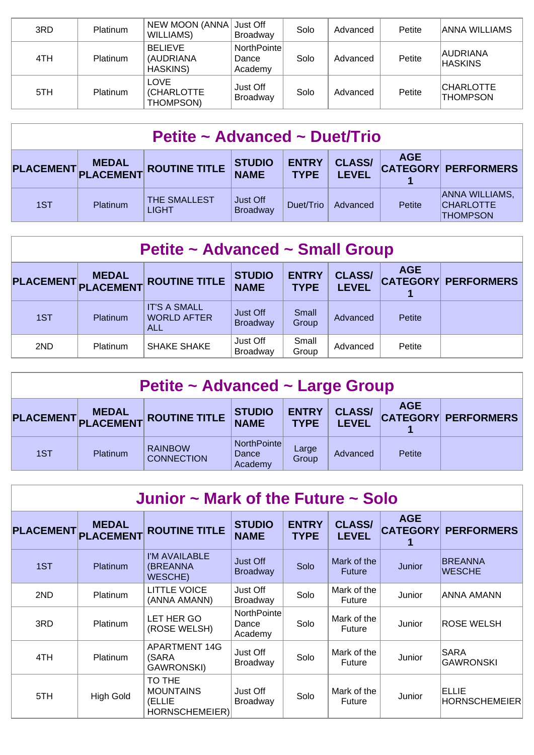| 3RD | <b>Platinum</b> | NEW MOON (ANNA) Just Off<br>WILLIAMS)           | <b>Broadway</b>                  | Solo | Advanced | Petite | <b>ANNA WILLIAMS</b>                |
|-----|-----------------|-------------------------------------------------|----------------------------------|------|----------|--------|-------------------------------------|
| 4TH | <b>Platinum</b> | <b>BELIEVE</b><br>(AUDRIANA<br><b>HASKINS</b> ) | NorthPointel<br>Dance<br>Academy | Solo | Advanced | Petite | <b>AUDRIANA</b><br><b>HASKINS</b>   |
| 5TH | <b>Platinum</b> | <b>LOVE</b><br>(CHARLOTTE<br>THOMPSON)          | Just Off<br><b>Broadway</b>      | Solo | Advanced | Petite | <b>CHARLOTTE</b><br><b>THOMPSON</b> |

| Petite ~ Advanced ~ Duet/Trio                                                                                                                                       |          |                                     |                             |           |          |        |                                                       |  |  |
|---------------------------------------------------------------------------------------------------------------------------------------------------------------------|----------|-------------------------------------|-----------------------------|-----------|----------|--------|-------------------------------------------------------|--|--|
| <b>AGE</b><br><b>CLASS/</b><br><b>ENTRY</b><br><b>STUDIO<br/>NAME</b><br>PLACEMENT MEDAL ROUTINE TITLE<br><b>CATEGORY PERFORMERS</b><br><b>LEVEL</b><br><b>TYPE</b> |          |                                     |                             |           |          |        |                                                       |  |  |
| 1ST                                                                                                                                                                 | Platinum | <b>THE SMALLEST</b><br><b>LIGHT</b> | Just Off<br><b>Broadway</b> | Duet/Trio | Advanced | Petite | ANNA WILLIAMS,<br><b>CHARLOTTE</b><br><b>THOMPSON</b> |  |  |

| <b>Petite ~ Advanced ~ Small Group</b> |                              |                                                         |                                    |                             |                               |            |                            |  |  |  |
|----------------------------------------|------------------------------|---------------------------------------------------------|------------------------------------|-----------------------------|-------------------------------|------------|----------------------------|--|--|--|
|                                        | PLACEMENT MEDAL<br>PLACEMENT | <b>ROUTINE TITLE</b>                                    | <b>STUDIO</b><br><b>NAME</b>       | <b>ENTRY</b><br><b>TYPE</b> | <b>CLASS/</b><br><b>LEVEL</b> | <b>AGE</b> | <b>CATEGORY PERFORMERS</b> |  |  |  |
| 1ST                                    | <b>Platinum</b>              | <b>IT'S A SMALL</b><br><b>WORLD AFTER</b><br><b>ALL</b> | <b>Just Off</b><br><b>Broadway</b> | Small<br>Group              | Advanced                      | Petite     |                            |  |  |  |
| 2ND                                    | <b>Platinum</b>              | <b>SHAKE SHAKE</b>                                      | Just Off<br><b>Broadway</b>        | Small<br>Group              | Advanced                      | Petite     |                            |  |  |  |

| Petite ~ Advanced ~ Large Group                                                                                                                                                               |          |                                     |                                 |                |          |        |  |  |  |  |
|-----------------------------------------------------------------------------------------------------------------------------------------------------------------------------------------------|----------|-------------------------------------|---------------------------------|----------------|----------|--------|--|--|--|--|
| <b>AGE</b><br><b>CLASS/</b><br><b>ENTRY</b><br><b>STUDIO</b><br><b>MEDAL</b><br><b>CATEGORY PERFORMERS</b><br>PLACEMENT PLACEMENT ROUTINE TITLE<br><b>NAME</b><br><b>TYPE</b><br><b>LEVEL</b> |          |                                     |                                 |                |          |        |  |  |  |  |
| 1ST                                                                                                                                                                                           | Platinum | <b>RAINBOW</b><br><b>CONNECTION</b> | NorthPointe<br>Dance<br>Academy | Large<br>Group | Advanced | Petite |  |  |  |  |

|                  | Junior $\sim$ Mark of the Future $\sim$ Solo |                                                        |                                 |                             |                               |                               |                                 |  |  |  |  |
|------------------|----------------------------------------------|--------------------------------------------------------|---------------------------------|-----------------------------|-------------------------------|-------------------------------|---------------------------------|--|--|--|--|
| <b>PLACEMENT</b> | <b>MEDAL</b><br><b>PLACEMENT</b>             | <b>ROUTINE TITLE</b>                                   | <b>STUDIO</b><br><b>NAME</b>    | <b>ENTRY</b><br><b>TYPE</b> | <b>CLASS/</b><br><b>LEVEL</b> | <b>AGE</b><br><b>CATEGORY</b> | <b>PERFORMERS</b>               |  |  |  |  |
| 1ST              | <b>Platinum</b>                              | I'M AVAILABLE<br>(BREANNA<br>WESCHE)                   | Just Off<br><b>Broadway</b>     | Solo                        | Mark of the<br><b>Future</b>  | Junior                        | <b>BREANNA</b><br><b>WESCHE</b> |  |  |  |  |
| 2ND              | Platinum                                     | <b>LITTLE VOICE</b><br>(ANNA AMANN)                    | Just Off<br>Broadway            | Solo                        | Mark of the<br>Future         | Junior                        | ANNA AMANN                      |  |  |  |  |
| 3RD              | <b>Platinum</b>                              | LET HER GO<br>(ROSE WELSH)                             | NorthPointe<br>Dance<br>Academy | Solo                        | Mark of the<br><b>Future</b>  | Junior                        | <b>ROSE WELSH</b>               |  |  |  |  |
| 4TH              | <b>Platinum</b>                              | <b>APARTMENT 14G</b><br>(SARA<br><b>GAWRONSKI</b> )    | Just Off<br>Broadway            | Solo                        | Mark of the<br><b>Future</b>  | Junior                        | <b>SARA</b><br><b>GAWRONSKI</b> |  |  |  |  |
| 5TH              | <b>High Gold</b>                             | TO THE<br><b>MOUNTAINS</b><br>(ELLIE<br>HORNSCHEMEIER) | Just Off<br><b>Broadway</b>     | Solo                        | Mark of the<br>Future         | Junior                        | ELLIE<br><b>HORNSCHEMEIER</b>   |  |  |  |  |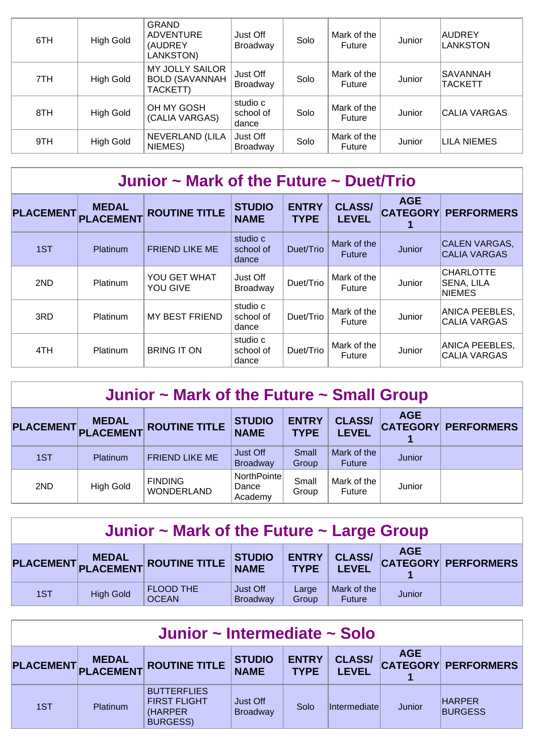| 6TH | <b>High Gold</b> | <b>GRAND</b><br><b>ADVENTURE</b><br>(AUDREY<br>LANKSTON) | Just Off<br>Broadway           | Solo | Mark of the<br>Future | Junior | AUDREY<br>LANKSTON         |
|-----|------------------|----------------------------------------------------------|--------------------------------|------|-----------------------|--------|----------------------------|
| 7TH | High Gold        | MY JOLLY SAILOR<br><b>BOLD (SAVANNAH</b><br>TACKETT)     | Just Off<br><b>Broadway</b>    | Solo | Mark of the<br>Future | Junior | SAVANNAH<br><b>TACKETT</b> |
| 8TH | <b>High Gold</b> | OH MY GOSH<br>(CALIA VARGAS)                             | studio c<br>school of<br>dance | Solo | Mark of the<br>Future | Junior | <b>CALIA VARGAS</b>        |
| 9TH | <b>High Gold</b> | NEVERLAND (LILA<br>NIEMES)                               | Just Off<br><b>Broadway</b>    | Solo | Mark of the<br>Future | Junior | LILA NIEMES                |

#### **Junior ~ Mark of the Future ~ Duet/Trio**

| <b>PLACEMENT</b> | <b>MEDAL</b><br><b>PLACEMENT</b> | <b>ROUTINE TITLE</b>     | <b>STUDIO</b><br><b>NAME</b>   | <b>ENTRY</b><br><b>TYPE</b> | <b>CLASS/</b><br><b>LEVEL</b> | <b>AGE</b><br><b>CATEGORY</b> | <b>PERFORMERS</b>                               |
|------------------|----------------------------------|--------------------------|--------------------------------|-----------------------------|-------------------------------|-------------------------------|-------------------------------------------------|
| 1ST              | Platinum                         | <b>FRIEND LIKE ME</b>    | studio c<br>school of<br>dance | Duet/Trio                   | Mark of the<br>Future         | Junior                        | <b>CALEN VARGAS,</b><br><b>CALIA VARGAS</b>     |
| 2ND              | <b>Platinum</b>                  | YOU GET WHAT<br>YOU GIVE | Just Off<br><b>Broadway</b>    | Duet/Trio                   | Mark of the<br>Future         | Junior                        | <b>CHARLOTTE</b><br>SENA, LILA<br><b>NIEMES</b> |
| 3RD              | Platinum                         | <b>MY BEST FRIEND</b>    | studio c<br>school of<br>dance | Duet/Trio                   | Mark of the<br>Future         | Junior                        | ANICA PEEBLES,<br><b>CALIA VARGAS</b>           |
| 4TH              | <b>Platinum</b>                  | <b>BRING IT ON</b>       | studio c<br>school of<br>dance | Duet/Trio                   | Mark of the<br>Future         | Junior                        | ANICA PEEBLES,<br><b>CALIA VARGAS</b>           |

| Junior $\sim$ Mark of the Future $\sim$ Small Group |                                  |                                     |                                 |                             |                               |            |                            |  |  |  |
|-----------------------------------------------------|----------------------------------|-------------------------------------|---------------------------------|-----------------------------|-------------------------------|------------|----------------------------|--|--|--|
| <b>PLACEMENT</b>                                    | <b>MEDAL</b><br><b>PLACEMENT</b> | <b>ROUTINE TITLE</b>                | <b>STUDIO</b><br><b>NAME</b>    | <b>ENTRY</b><br><b>TYPE</b> | <b>CLASS/</b><br><b>LEVEL</b> | <b>AGE</b> | <b>CATEGORY PERFORMERS</b> |  |  |  |
| 1ST                                                 | <b>Platinum</b>                  | <b>FRIEND LIKE ME</b>               | Just Off<br><b>Broadway</b>     | Small<br>Group              | Mark of the<br>Future         | Junior     |                            |  |  |  |
| 2ND                                                 | <b>High Gold</b>                 | <b>FINDING</b><br><b>WONDERLAND</b> | NorthPointe<br>Dance<br>Academy | Small<br>Group              | Mark of the<br>Future         | Junior     |                            |  |  |  |

| Junior $\sim$ Mark of the Future $\sim$ Large Group |                  |                                      |                             |                             |                               |            |                            |  |  |
|-----------------------------------------------------|------------------|--------------------------------------|-----------------------------|-----------------------------|-------------------------------|------------|----------------------------|--|--|
|                                                     |                  | PLACEMENT MEDAL ROUTINE TITLE STUDIO |                             | <b>ENTRY</b><br><b>TYPE</b> | <b>CLASS/</b><br><b>LEVEL</b> | <b>AGE</b> | <b>CATEGORY PERFORMERS</b> |  |  |
| 1ST                                                 | <b>High Gold</b> | <b>FLOOD THE</b><br><b>OCEAN</b>     | Just Off<br><b>Broadway</b> | Large<br>Group              | Mark of the<br><b>Future</b>  | Junior     |                            |  |  |

| Junior ~ Intermediate ~ Solo |                 |                                                                          |                              |                             |                               |            |                            |  |
|------------------------------|-----------------|--------------------------------------------------------------------------|------------------------------|-----------------------------|-------------------------------|------------|----------------------------|--|
|                              | PLACEMENT MEDAL | <b>ROUTINE TITLE</b>                                                     | <b>STUDIO</b><br><b>NAME</b> | <b>ENTRY</b><br><b>TYPE</b> | <b>CLASS/</b><br><b>LEVEL</b> | <b>AGE</b> | <b>CATEGORY PERFORMERS</b> |  |
| 1ST                          | <b>Platinum</b> | <b>BUTTERFLIES</b><br><b>FIRST FLIGHT</b><br>(HARPER<br><b>BURGESS</b> ) | Just Off<br><b>Broadway</b>  | Solo                        | Intermediate                  | Junior     | HARPER<br><b>BURGESS</b>   |  |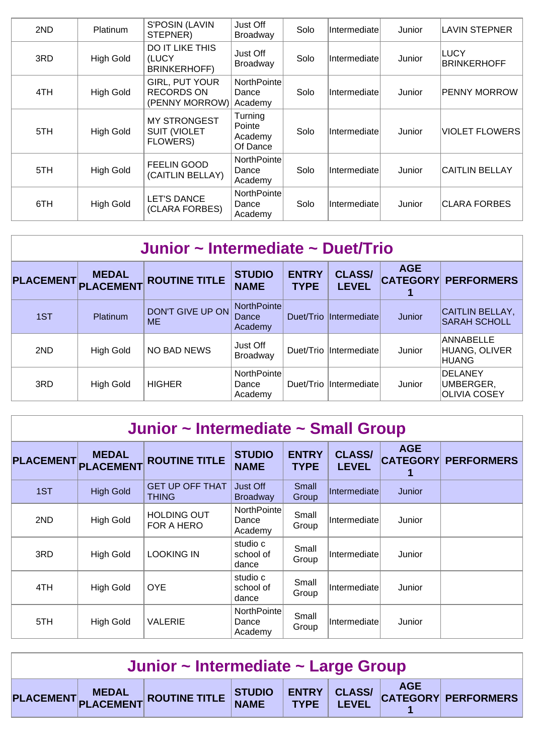| 2ND | <b>Platinum</b>  | S'POSIN (LAVIN<br>STEPNER)                                     | Just Off<br><b>Broadway</b>              | Solo | Intermediate  | Junior | LAVIN STEPNER               |
|-----|------------------|----------------------------------------------------------------|------------------------------------------|------|---------------|--------|-----------------------------|
| 3RD | <b>High Gold</b> | DO IT LIKE THIS<br>(LUCY<br><b>BRINKERHOFF)</b>                | Just Off<br><b>Broadway</b>              | Solo | Intermediate  | Junior | ILUCY<br><b>BRINKERHOFF</b> |
| 4TH | High Gold        | GIRL, PUT YOUR<br><b>RECORDS ON</b><br>(PENNY MORROW)          | NorthPointe<br>Dance<br>Academy          | Solo | Intermediate  | Junior | <b>PENNY MORROW</b>         |
| 5TH | <b>High Gold</b> | <b>MY STRONGEST</b><br><b>SUIT (VIOLET</b><br><b>FLOWERS</b> ) | Turning<br>Pointe<br>Academy<br>Of Dance | Solo | Intermediate  | Junior | VIOLET FLOWERS              |
| 5TH | <b>High Gold</b> | <b>FEELIN GOOD</b><br>(CAITLIN BELLAY)                         | NorthPointe<br>Dance<br>Academy          | Solo | Intermediate  | Junior | <b>CAITLIN BELLAY</b>       |
| 6TH | <b>High Gold</b> | <b>LET'S DANCE</b><br>(CLARA FORBES)                           | NorthPointe<br>Dance<br>Academy          | Solo | IIntermediate | Junior | <b>CLARA FORBES</b>         |

|                  | Junior ~ Intermediate ~ Duet/Trio |                               |                                         |                             |                                   |            |                                                    |  |  |  |  |
|------------------|-----------------------------------|-------------------------------|-----------------------------------------|-----------------------------|-----------------------------------|------------|----------------------------------------------------|--|--|--|--|
| <b>PLACEMENT</b> | <b>MEDAL</b><br><b>PLACEMENT</b>  | <b>ROUTINE TITLE</b>          | <b>STUDIO</b><br><b>NAME</b>            | <b>ENTRY</b><br><b>TYPE</b> | <b>CLASS/</b><br><b>LEVEL</b>     | <b>AGE</b> | <b>CATEGORY PERFORMERS</b>                         |  |  |  |  |
| 1ST              | Platinum                          | DON'T GIVE UP ON<br><b>ME</b> | NorthPointel<br><b>Dance</b><br>Academy | Duet/Trio                   | <i><u><b>Intermediate</b></u></i> | Junior     | CAITLIN BELLAY,<br><b>SARAH SCHOLL</b>             |  |  |  |  |
| 2ND              | <b>High Gold</b>                  | <b>NO BAD NEWS</b>            | Just Off<br><b>Broadway</b>             | Duet/Trio                   | Intermediate                      | Junior     | ANNABELLE<br>HUANG, OLIVER<br><b>HUANG</b>         |  |  |  |  |
| 3RD              | <b>High Gold</b>                  | <b>HIGHER</b>                 | NorthPointe<br>Dance<br>Academy         | Duet/Trio                   | Intermediate                      | Junior     | <b>DELANEY</b><br>UMBERGER,<br><b>OLIVIA COSEY</b> |  |  |  |  |

| Junior ~ Intermediate ~ Small Group |                                  |                                        |                                 |                             |                               |            |                            |  |  |  |
|-------------------------------------|----------------------------------|----------------------------------------|---------------------------------|-----------------------------|-------------------------------|------------|----------------------------|--|--|--|
| <b>PLACEMENT</b>                    | <b>MEDAL</b><br><b>PLACEMENT</b> | <b>ROUTINE TITLE</b>                   | <b>STUDIO</b><br><b>NAME</b>    | <b>ENTRY</b><br><b>TYPE</b> | <b>CLASS/</b><br><b>LEVEL</b> | <b>AGE</b> | <b>CATEGORY PERFORMERS</b> |  |  |  |
| 1ST                                 | <b>High Gold</b>                 | <b>GET UP OFF THAT</b><br><b>THING</b> | Just Off<br><b>Broadway</b>     | Small<br>Group              | Intermediate                  | Junior     |                            |  |  |  |
| 2ND                                 | <b>High Gold</b>                 | <b>HOLDING OUT</b><br>FOR A HERO       | NorthPointe<br>Dance<br>Academy | Small<br>Group              | Intermediate                  | Junior     |                            |  |  |  |
| 3RD                                 | <b>High Gold</b>                 | <b>LOOKING IN</b>                      | studio c<br>school of<br>dance  | Small<br>Group              | Intermediate                  | Junior     |                            |  |  |  |
| 4TH                                 | <b>High Gold</b>                 | <b>OYE</b>                             | studio c<br>school of<br>dance  | Small<br>Group              | Intermediate                  | Junior     |                            |  |  |  |
| 5TH                                 | <b>High Gold</b>                 | <b>VALERIE</b>                         | NorthPointe<br>Dance<br>Academy | Small<br>Group              | Intermediate                  | Junior     |                            |  |  |  |

| Junior ~ Intermediate ~ Large Group |  |                                                                       |  |  |  |  |  |  |
|-------------------------------------|--|-----------------------------------------------------------------------|--|--|--|--|--|--|
|                                     |  | PLACEMENT MEDAL ROUTINE TITLE STUDIO ENTRY CLASS/ CATEGORY PERFORMERS |  |  |  |  |  |  |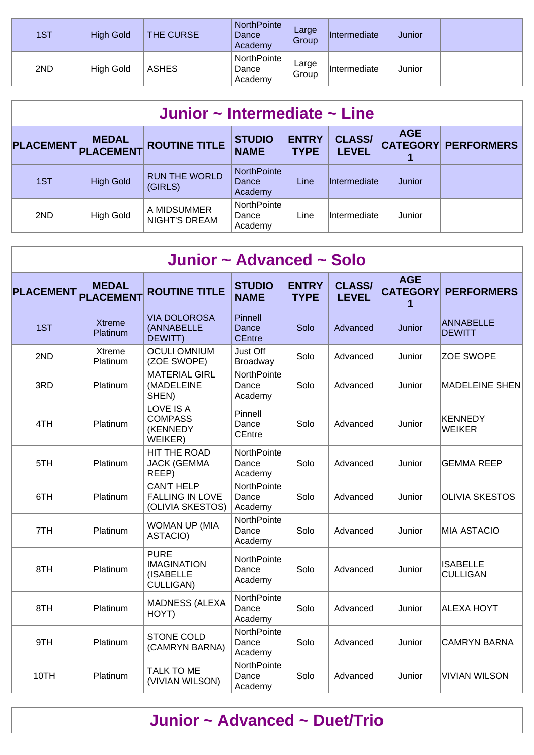| 1ST | <b>High Gold</b> | THE CURSE    | NorthPointe<br>Dance<br>Academy | Large<br>Group | <i>Intermediatel</i> | Junior |  |
|-----|------------------|--------------|---------------------------------|----------------|----------------------|--------|--|
|     |                  |              |                                 |                |                      |        |  |
| 2ND | <b>High Gold</b> | <b>ASHES</b> | NorthPointe<br>Dance<br>Academy | Large<br>Group | Intermediate         | Junior |  |

|                  | Junior $\sim$ Intermediate $\sim$ Line |                                 |                                 |                             |                               |            |                            |  |
|------------------|----------------------------------------|---------------------------------|---------------------------------|-----------------------------|-------------------------------|------------|----------------------------|--|
| <b>PLACEMENT</b> | <b>MEDAL</b><br>PLACEMENT              | <b>ROUTINE TITLE</b>            | <b>STUDIO</b><br><b>NAME</b>    | <b>ENTRY</b><br><b>TYPE</b> | <b>CLASS/</b><br><b>LEVEL</b> | <b>AGE</b> | <b>CATEGORY PERFORMERS</b> |  |
| 1ST              | <b>High Gold</b>                       | <b>RUN THE WORLD</b><br>(GIRLS) | NorthPointe<br>Dance<br>Academy | Line                        | Intermediate                  | Junior     |                            |  |
| 2ND              | High Gold                              | A MIDSUMMER<br>NIGHT'S DREAM    | NorthPointe<br>Dance<br>Academy | Line                        | IIntermediate                 | Junior     |                            |  |

| Junior ~ Advanced ~ Solo |                                  |                                                                    |                                        |                             |                               |                                    |                                    |  |  |  |
|--------------------------|----------------------------------|--------------------------------------------------------------------|----------------------------------------|-----------------------------|-------------------------------|------------------------------------|------------------------------------|--|--|--|
| <b>PLACEMENT</b>         | <b>MEDAL</b><br><b>PLACEMENT</b> | <b>ROUTINE TITLE</b>                                               | <b>STUDIO</b><br><b>NAME</b>           | <b>ENTRY</b><br><b>TYPE</b> | <b>CLASS/</b><br><b>LEVEL</b> | <b>AGE</b><br><b>CATEGORY</b><br>1 | <b>PERFORMERS</b>                  |  |  |  |
| 1ST                      | <b>Xtreme</b><br>Platinum        | <b>VIA DOLOROSA</b><br>(ANNABELLE<br>DEWITT)                       | Pinnell<br>Dance<br><b>CEntre</b>      | Solo                        | Advanced                      | Junior                             | <b>ANNABELLE</b><br><b>DEWITT</b>  |  |  |  |
| 2ND                      | Xtreme<br>Platinum               | <b>OCULI OMNIUM</b><br>(ZOE SWOPE)                                 | Just Off<br>Broadway                   | Solo                        | Advanced                      | Junior                             | ZOE SWOPE                          |  |  |  |
| 3RD                      | Platinum                         | <b>MATERIAL GIRL</b><br>(MADELEINE<br>SHEN)                        | <b>NorthPointe</b><br>Dance<br>Academy | Solo                        | Advanced                      | Junior                             | <b>MADELEINE SHEN</b>              |  |  |  |
| 4TH                      | Platinum                         | LOVE IS A<br><b>COMPASS</b><br>(KENNEDY<br>WEIKER)                 | Pinnell<br>Dance<br><b>CEntre</b>      | Solo                        | Advanced                      | Junior                             | <b>KENNEDY</b><br><b>WEIKER</b>    |  |  |  |
| 5TH                      | Platinum                         | HIT THE ROAD<br><b>JACK (GEMMA</b><br>REEP)                        | NorthPointe<br>Dance<br>Academy        | Solo                        | Advanced                      | Junior                             | <b>GEMMA REEP</b>                  |  |  |  |
| 6TH                      | Platinum                         | <b>CAN'T HELP</b><br><b>FALLING IN LOVE</b><br>(OLIVIA SKESTOS)    | NorthPointe<br>Dance<br>Academy        | Solo                        | Advanced                      | Junior                             | <b>OLIVIA SKESTOS</b>              |  |  |  |
| 7TH                      | Platinum                         | WOMAN UP (MIA<br><b>ASTACIO)</b>                                   | NorthPointe<br>Dance<br>Academy        | Solo                        | Advanced                      | Junior                             | <b>MIA ASTACIO</b>                 |  |  |  |
| 8TH                      | Platinum                         | <b>PURE</b><br><b>IMAGINATION</b><br>(ISABELLE<br><b>CULLIGAN)</b> | <b>NorthPointe</b><br>Dance<br>Academy | Solo                        | Advanced                      | Junior                             | <b>ISABELLE</b><br><b>CULLIGAN</b> |  |  |  |
| 8TH                      | Platinum                         | <b>MADNESS (ALEXA</b><br>HOYT)                                     | NorthPointe<br>Dance<br>Academy        | Solo                        | Advanced                      | Junior                             | <b>ALEXA HOYT</b>                  |  |  |  |
| 9TH                      | Platinum                         | <b>STONE COLD</b><br>(CAMRYN BARNA)                                | NorthPointe<br>Dance<br>Academy        | Solo                        | Advanced                      | Junior                             | <b>CAMRYN BARNA</b>                |  |  |  |
| 10TH                     | Platinum                         | <b>TALK TO ME</b><br>(VIVIAN WILSON)                               | NorthPointe<br>Dance<br>Academy        | Solo                        | Advanced                      | Junior                             | <b>VIVIAN WILSON</b>               |  |  |  |

#### **Junior ~ Advanced ~ Duet/Trio**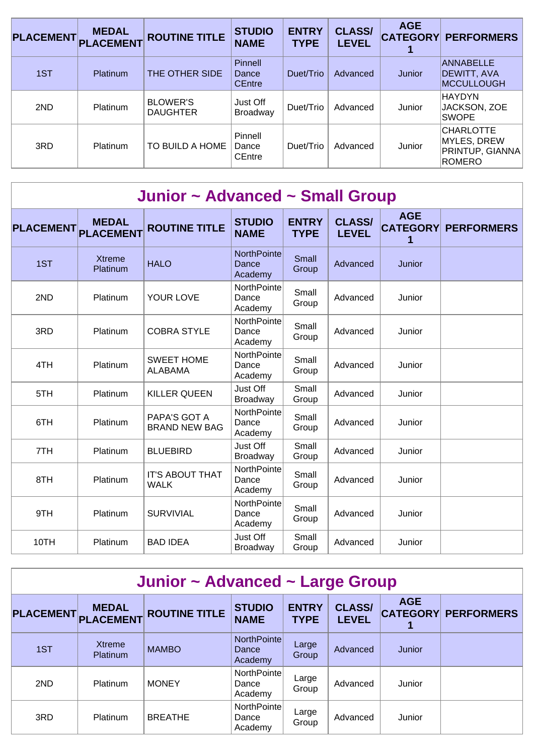| <b>PLACEMENT</b> | <b>MEDAL</b><br>PLACEMENT | <b>ROUTINE TITLE</b>               | <b>STUDIO</b><br><b>NAME</b>      | <b>ENTRY</b><br><b>TYPE</b> | <b>CLASS/</b><br><b>LEVEL</b> | <b>AGE</b> | <b>CATEGORY PERFORMERS</b>                                   |
|------------------|---------------------------|------------------------------------|-----------------------------------|-----------------------------|-------------------------------|------------|--------------------------------------------------------------|
| 1ST              | <b>Platinum</b>           | THE OTHER SIDE                     | Pinnell<br>Dance<br><b>CEntre</b> | Duet/Trio                   | Advanced                      | Junior     | <b>ANNABELLE</b><br>DEWITT, AVA<br><b>MCCULLOUGH</b>         |
| 2ND              | <b>Platinum</b>           | <b>BLOWER'S</b><br><b>DAUGHTER</b> | Just Off<br>Broadway              | Duet/Trio                   | Advanced                      | Junior     | <b>HAYDYN</b><br>JACKSON, ZOE<br><b>ISWOPE</b>               |
| 3RD              | Platinum                  | TO BUILD A HOME                    | Pinnell<br>Dance<br><b>CEntre</b> | Duet/Trio                   | Advanced                      | Junior     | <b>CHARLOTTE</b><br>MYLES, DREW<br>PRINTUP, GIANNA<br>ROMERO |

| Junior ~ Advanced ~ Small Group |                                  |                                       |                                        |                             |                               |                                    |                   |  |  |  |
|---------------------------------|----------------------------------|---------------------------------------|----------------------------------------|-----------------------------|-------------------------------|------------------------------------|-------------------|--|--|--|
| <b>PLACEMENT</b>                | <b>MEDAL</b><br><b>PLACEMENT</b> | <b>ROUTINE TITLE</b>                  | <b>STUDIO</b><br><b>NAME</b>           | <b>ENTRY</b><br><b>TYPE</b> | <b>CLASS/</b><br><b>LEVEL</b> | <b>AGE</b><br><b>CATEGORY</b><br>1 | <b>PERFORMERS</b> |  |  |  |
| 1ST                             | <b>Xtreme</b><br>Platinum        | <b>HALO</b>                           | <b>NorthPointe</b><br>Dance<br>Academy | Small<br>Group              | Advanced                      | Junior                             |                   |  |  |  |
| 2ND                             | Platinum                         | YOUR LOVE                             | NorthPointe<br>Dance<br>Academy        | Small<br>Group              | Advanced                      | Junior                             |                   |  |  |  |
| 3RD                             | Platinum                         | <b>COBRA STYLE</b>                    | <b>NorthPointe</b><br>Dance<br>Academy | Small<br>Group              | Advanced                      | Junior                             |                   |  |  |  |
| 4TH                             | Platinum                         | <b>SWEET HOME</b><br><b>ALABAMA</b>   | NorthPointe<br>Dance<br>Academy        | Small<br>Group              | Advanced                      | Junior                             |                   |  |  |  |
| 5TH                             | Platinum                         | <b>KILLER QUEEN</b>                   | Just Off<br>Broadway                   | Small<br>Group              | Advanced                      | Junior                             |                   |  |  |  |
| 6TH                             | Platinum                         | PAPA'S GOT A<br><b>BRAND NEW BAG</b>  | <b>NorthPointe</b><br>Dance<br>Academy | Small<br>Group              | Advanced                      | Junior                             |                   |  |  |  |
| 7TH                             | Platinum                         | <b>BLUEBIRD</b>                       | Just Off<br>Broadway                   | Small<br>Group              | Advanced                      | Junior                             |                   |  |  |  |
| 8TH                             | Platinum                         | <b>IT'S ABOUT THAT</b><br><b>WALK</b> | NorthPointe<br>Dance<br>Academy        | Small<br>Group              | Advanced                      | Junior                             |                   |  |  |  |
| 9TH                             | Platinum                         | <b>SURVIVIAL</b>                      | NorthPointe<br>Dance<br>Academy        | Small<br>Group              | Advanced                      | Junior                             |                   |  |  |  |
| 10TH                            | Platinum                         | <b>BAD IDEA</b>                       | Just Off<br><b>Broadway</b>            | Small<br>Group              | Advanced                      | Junior                             |                   |  |  |  |

| Junior ~ Advanced ~ Large Group |  |  |  |
|---------------------------------|--|--|--|
|---------------------------------|--|--|--|

|     | <b>MEDAL</b><br>PLACEMENT PLACEMENT | <b>ROUTINE TITLE</b> | <b>STUDIO</b><br><b>NAME</b>    | <b>ENTRY</b><br><b>TYPE</b> | <b>CLASS/</b><br><b>LEVEL</b> | <b>AGE</b> | <b>CATEGORY PERFORMERS</b> |
|-----|-------------------------------------|----------------------|---------------------------------|-----------------------------|-------------------------------|------------|----------------------------|
| 1ST | <b>Xtreme</b><br><b>Platinum</b>    | <b>MAMBO</b>         | NorthPointe<br>Dance<br>Academy | Large<br>Group              | Advanced                      | Junior     |                            |
| 2ND | Platinum                            | <b>MONEY</b>         | NorthPointe<br>Dance<br>Academy | Large<br>Group              | Advanced                      | Junior     |                            |
| 3RD | Platinum                            | <b>BREATHE</b>       | NorthPointe<br>Dance<br>Academy | Large<br>Group              | Advanced                      | Junior     |                            |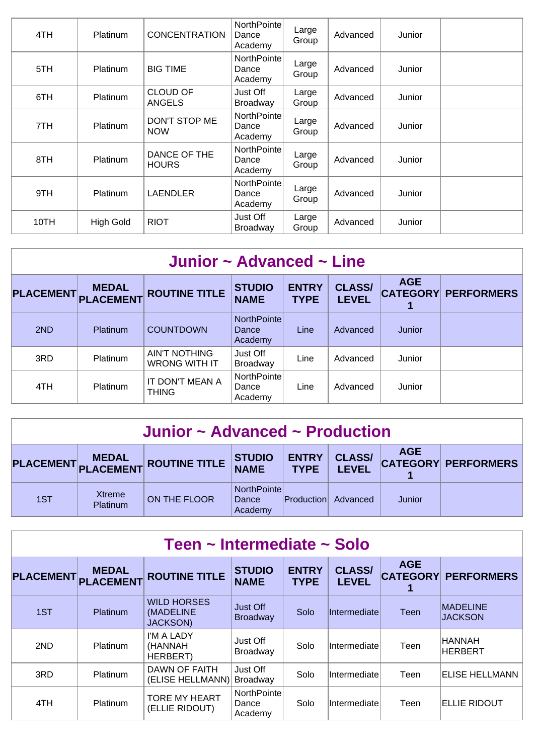| 4TH  | <b>Platinum</b>  | <b>CONCENTRATION</b>             | NorthPointe<br>Dance<br>Academy | Large<br>Group | Advanced | Junior |  |
|------|------------------|----------------------------------|---------------------------------|----------------|----------|--------|--|
| 5TH  | <b>Platinum</b>  | <b>BIG TIME</b>                  | NorthPointe<br>Dance<br>Academy | Large<br>Group | Advanced | Junior |  |
| 6TH  | <b>Platinum</b>  | <b>CLOUD OF</b><br><b>ANGELS</b> | Just Off<br><b>Broadway</b>     | Large<br>Group | Advanced | Junior |  |
| 7TH  | Platinum         | DON'T STOP ME<br><b>NOW</b>      | NorthPointe<br>Dance<br>Academy | Large<br>Group | Advanced | Junior |  |
| 8TH  | <b>Platinum</b>  | DANCE OF THE<br><b>HOURS</b>     | NorthPointe<br>Dance<br>Academy | Large<br>Group | Advanced | Junior |  |
| 9TH  | Platinum         | LAENDLER                         | NorthPointe<br>Dance<br>Academy | Large<br>Group | Advanced | Junior |  |
| 10TH | <b>High Gold</b> | <b>RIOT</b>                      | Just Off<br><b>Broadway</b>     | Large<br>Group | Advanced | Junior |  |

| Junior $\sim$ Advanced $\sim$ Line |                                  |                                              |                                 |                             |                               |            |                            |  |  |
|------------------------------------|----------------------------------|----------------------------------------------|---------------------------------|-----------------------------|-------------------------------|------------|----------------------------|--|--|
| <b>PLACEMENT</b>                   | <b>MEDAL</b><br><b>PLACEMENT</b> | <b>ROUTINE TITLE</b>                         | <b>STUDIO</b><br><b>NAME</b>    | <b>ENTRY</b><br><b>TYPE</b> | <b>CLASS/</b><br><b>LEVEL</b> | <b>AGE</b> | <b>CATEGORY PERFORMERS</b> |  |  |
| 2ND                                | <b>Platinum</b>                  | <b>COUNTDOWN</b>                             | NorthPointe<br>Dance<br>Academy | Line                        | Advanced                      | Junior     |                            |  |  |
| 3RD                                | Platinum                         | <b>AIN'T NOTHING</b><br><b>WRONG WITH IT</b> | Just Off<br><b>Broadway</b>     | Line                        | Advanced                      | Junior     |                            |  |  |
| 4TH                                | Platinum                         | IT DON'T MEAN A<br><b>THING</b>              | NorthPointe<br>Dance<br>Academy | Line                        | Advanced                      | Junior     |                            |  |  |

| Junior $\sim$ Advanced $\sim$ Production |                           |                               |                                 |                             |                               |            |                            |  |  |
|------------------------------------------|---------------------------|-------------------------------|---------------------------------|-----------------------------|-------------------------------|------------|----------------------------|--|--|
|                                          |                           | PLACEMENT MEDAL ROUTINE TITLE | <b>STUDIO</b><br><b>NAME</b>    | <b>ENTRY</b><br><b>TYPE</b> | <b>CLASS/</b><br><b>LEVEL</b> | <b>AGE</b> | <b>CATEGORY PERFORMERS</b> |  |  |
| 1ST                                      | <b>Xtreme</b><br>Platinum | ON THE FLOOR                  | NorthPointe<br>Dance<br>Academy | <b>Production</b>           | Advanced                      | Junior     |                            |  |  |

| Teen ~ Intermediate ~ Solo |                           |                                                    |                                 |                             |                               |            |                                   |  |  |  |
|----------------------------|---------------------------|----------------------------------------------------|---------------------------------|-----------------------------|-------------------------------|------------|-----------------------------------|--|--|--|
| <b>PLACEMENT</b>           | <b>MEDAL</b><br>PLACEMENT | <b>ROUTINE TITLE</b>                               | <b>STUDIO</b><br><b>NAME</b>    | <b>ENTRY</b><br><b>TYPE</b> | <b>CLASS/</b><br><b>LEVEL</b> | <b>AGE</b> | <b>CATEGORY PERFORMERS</b>        |  |  |  |
| 1ST                        | Platinum                  | <b>WILD HORSES</b><br>(MADELINE<br><b>JACKSON)</b> | Just Off<br><b>Broadway</b>     | Solo                        | Intermediate                  | Teen       | <b>MADELINE</b><br><b>JACKSON</b> |  |  |  |
| 2ND                        | <b>Platinum</b>           | I'M A LADY<br>(HANNAH<br>HERBERT)                  | Just Off<br>Broadway            | Solo                        | Intermediate                  | Teen       | HANNAH<br><b>HERBERT</b>          |  |  |  |
| 3RD                        | <b>Platinum</b>           | DAWN OF FAITH<br>(ELISE HELLMANN)                  | Just Off<br><b>Broadway</b>     | Solo                        | Intermediate                  | Teen       | <b>ELISE HELLMANN</b>             |  |  |  |
| 4TH                        | Platinum                  | <b>TORE MY HEART</b><br>(ELLIE RIDOUT)             | NorthPointe<br>Dance<br>Academy | Solo                        | Intermediate                  | Teen       | <b>ELLIE RIDOUT</b>               |  |  |  |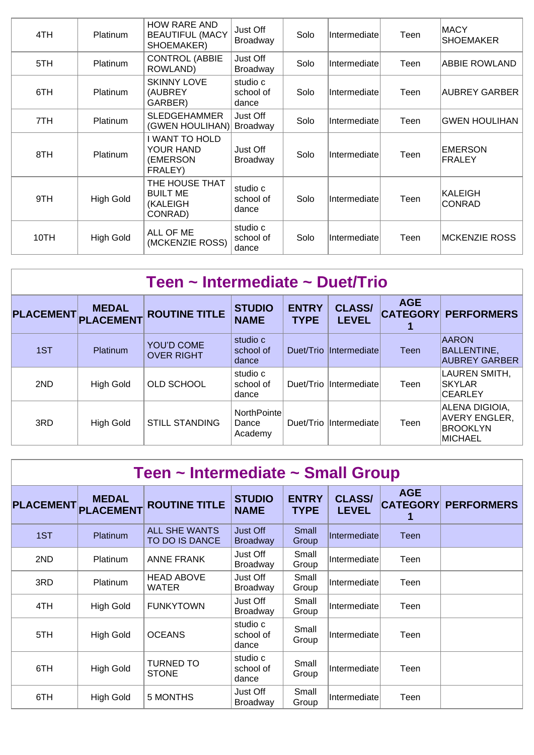| 4TH  | Platinum         | <b>HOW RARE AND</b><br><b>BEAUTIFUL (MACY</b><br>SHOEMAKER) | Just Off<br><b>Broadway</b>    | Solo | <b>Intermediatel</b> | Teen | <b>IMACY</b><br><b>SHOEMAKER</b> |
|------|------------------|-------------------------------------------------------------|--------------------------------|------|----------------------|------|----------------------------------|
| 5TH  | Platinum         | <b>CONTROL (ABBIE</b><br>ROWLAND)                           | Just Off<br>Broadway           | Solo | Intermediate         | Teen | ABBIE ROWLAND                    |
| 6TH  | Platinum         | <b>SKINNY LOVE</b><br>(AUBREY<br>GARBER)                    | studio c<br>school of<br>dance | Solo | Intermediate         | Teen | AUBREY GARBER                    |
| 7TH  | Platinum         | <b>SLEDGEHAMMER</b><br>(GWEN HOULIHAN)                      | Just Off<br><b>Broadway</b>    | Solo | Intermediatel        | Teen | IGWEN HOULIHAN                   |
| 8TH  | <b>Platinum</b>  | I WANT TO HOLD<br>YOUR HAND<br>(EMERSON<br>FRALEY)          | Just Off<br><b>Broadway</b>    | Solo | Intermediate         | Teen | <b>EMERSON</b><br>FRALEY         |
| 9TH  | <b>High Gold</b> | THE HOUSE THAT<br><b>BUILT ME</b><br>(KALEIGH<br>CONRAD)    | studio c<br>school of<br>dance | Solo | Intermediate         | Teen | KALEIGH<br>CONRAD                |
| 10TH | <b>High Gold</b> | ALL OF ME<br>(MCKENZIE ROSS)                                | studio c<br>school of<br>dance | Solo | Intermediate         | Teen | IMCKENZIE ROSS                   |

| Teen ~ Intermediate ~ Duet/Trio |                  |                                        |                                 |                             |                               |            |                                                                      |  |  |  |
|---------------------------------|------------------|----------------------------------------|---------------------------------|-----------------------------|-------------------------------|------------|----------------------------------------------------------------------|--|--|--|
| PLACEMENT PLACEMENT             | <b>MEDAL</b>     | <b>ROUTINE TITLE</b>                   | <b>STUDIO</b><br><b>NAME</b>    | <b>ENTRY</b><br><b>TYPE</b> | <b>CLASS/</b><br><b>LEVEL</b> | <b>AGE</b> | <b>CATEGORY PERFORMERS</b>                                           |  |  |  |
| 1ST                             | Platinum         | <b>YOU'D COME</b><br><b>OVER RIGHT</b> | studio c<br>school of<br>dance  | Duet/Trio                   | <b>Intermediate</b>           | Teen       | <b>AARON</b><br>BALLENTINE,<br>AUBREY GARBER                         |  |  |  |
| 2ND                             | <b>High Gold</b> | <b>OLD SCHOOL</b>                      | studio c<br>school of<br>dance  |                             | Duet/Trio Intermediate        | Teen       | LAUREN SMITH,<br><b>ISKYLAR</b><br><b>CEARLEY</b>                    |  |  |  |
| 3RD                             | <b>High Gold</b> | <b>STILL STANDING</b>                  | NorthPointe<br>Dance<br>Academy | Duet/Trio                   | Intermediate                  | Teen       | ALENA DIGIOIA,<br><b>AVERY ENGLER,</b><br><b>BROOKLYN</b><br>MICHAEL |  |  |  |

| Teen ~ Intermediate ~ Small Group |                                  |                                        |                                |                             |                               |             |                            |  |  |  |
|-----------------------------------|----------------------------------|----------------------------------------|--------------------------------|-----------------------------|-------------------------------|-------------|----------------------------|--|--|--|
| <b>PLACEMENT</b>                  | <b>MEDAL</b><br><b>PLACEMENT</b> | <b>ROUTINE TITLE</b>                   | <b>STUDIO</b><br><b>NAME</b>   | <b>ENTRY</b><br><b>TYPE</b> | <b>CLASS/</b><br><b>LEVEL</b> | <b>AGE</b>  | <b>CATEGORY PERFORMERS</b> |  |  |  |
| 1ST                               | Platinum                         | <b>ALL SHE WANTS</b><br>TO DO IS DANCE | Just Off<br><b>Broadway</b>    | Small<br>Group              | Intermediate                  | <b>Teen</b> |                            |  |  |  |
| 2ND                               | Platinum                         | <b>ANNE FRANK</b>                      | Just Off<br>Broadway           | Small<br>Group              | Intermediate                  | Teen        |                            |  |  |  |
| 3RD                               | Platinum                         | <b>HEAD ABOVE</b><br><b>WATER</b>      | Just Off<br>Broadway           | Small<br>Group              | Intermediate                  | Teen        |                            |  |  |  |
| 4TH                               | <b>High Gold</b>                 | <b>FUNKYTOWN</b>                       | Just Off<br><b>Broadway</b>    | Small<br>Group              | Intermediate                  | Teen        |                            |  |  |  |
| 5TH                               | <b>High Gold</b>                 | <b>OCEANS</b>                          | studio c<br>school of<br>dance | Small<br>Group              | Intermediate                  | Teen        |                            |  |  |  |
| 6TH                               | <b>High Gold</b>                 | <b>TURNED TO</b><br><b>STONE</b>       | studio c<br>school of<br>dance | Small<br>Group              | Intermediate                  | Teen        |                            |  |  |  |
| 6TH                               | <b>High Gold</b>                 | 5 MONTHS                               | Just Off<br>Broadway           | Small<br>Group              | Intermediate                  | Teen        |                            |  |  |  |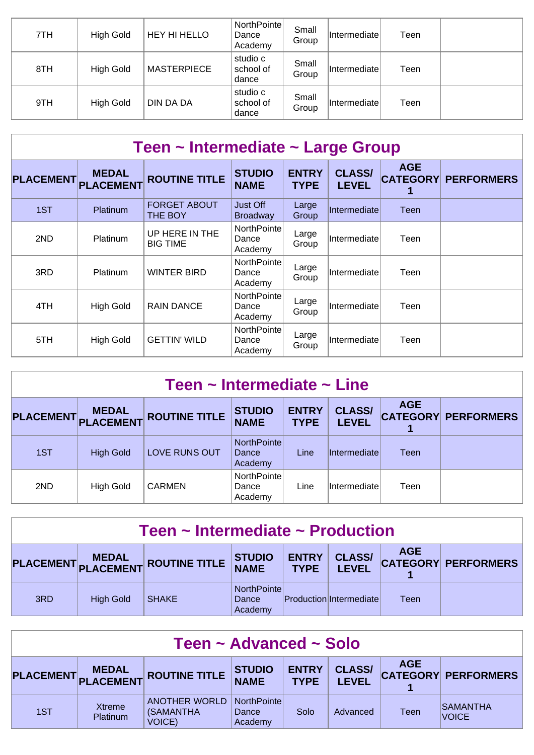| 7TH | <b>High Gold</b> | HEY HI HELLO       | NorthPointe<br>Dance<br>Academy | Small<br>Group | Intermediate | Teen |  |
|-----|------------------|--------------------|---------------------------------|----------------|--------------|------|--|
| 8TH | <b>High Gold</b> | <b>MASTERPIECE</b> | studio c<br>school of<br>dance  | Small<br>Group | Intermediate | Teen |  |
| 9TH | <b>High Gold</b> | <b>DIN DA DA</b>   | studio c<br>school of<br>dance  | Small<br>Group | Intermediate | Teen |  |

| Teen ~ Intermediate ~ Large Group |                                  |                                       |                                 |                             |                               |            |                            |  |  |  |
|-----------------------------------|----------------------------------|---------------------------------------|---------------------------------|-----------------------------|-------------------------------|------------|----------------------------|--|--|--|
| <b>PLACEMENT</b>                  | <b>MEDAL</b><br><b>PLACEMENT</b> | <b>ROUTINE TITLE</b>                  | <b>STUDIO</b><br><b>NAME</b>    | <b>ENTRY</b><br><b>TYPE</b> | <b>CLASS/</b><br><b>LEVEL</b> | <b>AGE</b> | <b>CATEGORY PERFORMERS</b> |  |  |  |
| 1ST                               | Platinum                         | <b>FORGET ABOUT</b><br><b>THE BOY</b> | Just Off<br><b>Broadway</b>     | Large<br>Group              | Intermediate                  | Teen       |                            |  |  |  |
| 2ND                               | Platinum                         | UP HERE IN THE<br><b>BIG TIME</b>     | NorthPointe<br>Dance<br>Academy | Large<br>Group              | Intermediate                  | Teen       |                            |  |  |  |
| 3RD                               | <b>Platinum</b>                  | <b>WINTER BIRD</b>                    | NorthPointe<br>Dance<br>Academy | Large<br>Group              | Intermediate                  | Teen       |                            |  |  |  |
| 4TH                               | <b>High Gold</b>                 | <b>RAIN DANCE</b>                     | NorthPointe<br>Dance<br>Academy | Large<br>Group              | Intermediate                  | Teen       |                            |  |  |  |
| 5TH                               | High Gold                        | <b>GETTIN' WILD</b>                   | NorthPointe<br>Dance<br>Academy | Large<br>Group              | Intermediate                  | Teen       |                            |  |  |  |

| Teen $\sim$ Intermediate $\sim$ Line |                                  |                      |                                 |                             |                               |            |                            |  |  |  |
|--------------------------------------|----------------------------------|----------------------|---------------------------------|-----------------------------|-------------------------------|------------|----------------------------|--|--|--|
| <b>PLACEMENT</b>                     | <b>MEDAL</b><br><b>PLACEMENT</b> | <b>ROUTINE TITLE</b> | <b>STUDIO</b><br><b>NAME</b>    | <b>ENTRY</b><br><b>TYPE</b> | <b>CLASS/</b><br><b>LEVEL</b> | <b>AGE</b> | <b>CATEGORY PERFORMERS</b> |  |  |  |
| 1ST                                  | <b>High Gold</b>                 | <b>LOVE RUNS OUT</b> | NorthPointe<br>Dance<br>Academy | Line                        | Intermediate                  | Teen       |                            |  |  |  |
| 2ND                                  | <b>High Gold</b>                 | <b>CARMEN</b>        | NorthPointe<br>Dance<br>Academy | Line                        | Intermediate                  | Teen       |                            |  |  |  |

| Teen $\sim$ Intermediate $\sim$ Production                                                                                                                                          |                  |              |                                         |  |                                |      |  |  |  |
|-------------------------------------------------------------------------------------------------------------------------------------------------------------------------------------|------------------|--------------|-----------------------------------------|--|--------------------------------|------|--|--|--|
| <b>AGE</b><br><b>CLASS/</b><br><b>ENTRY</b><br><b>STUDIO</b><br>PLACEMENT MEDAL<br><b>CATEGORY PERFORMERS</b><br><b>ROUTINE TITLE</b><br><b>NAME</b><br><b>LEVEL</b><br><b>TYPE</b> |                  |              |                                         |  |                                |      |  |  |  |
| 3RD                                                                                                                                                                                 | <b>High Gold</b> | <b>SHAKE</b> | <b>NorthPointel</b><br>Dance<br>Academy |  | <b>Production Intermediate</b> | Teen |  |  |  |

| Teen ~ Advanced ~ Solo                                                                                                                                                                        |                           |                                             |                                         |      |          |      |                                 |  |  |
|-----------------------------------------------------------------------------------------------------------------------------------------------------------------------------------------------|---------------------------|---------------------------------------------|-----------------------------------------|------|----------|------|---------------------------------|--|--|
| <b>AGE</b><br><b>CLASS/</b><br><b>ENTRY</b><br><b>STUDIO</b><br><b>MEDAL</b><br>PLACEMENT PLACEMENT ROUTINE TITLE<br><b>CATEGORY PERFORMERS</b><br><b>NAME</b><br><b>LEVEL</b><br><b>TYPE</b> |                           |                                             |                                         |      |          |      |                                 |  |  |
| 1ST                                                                                                                                                                                           | Xtreme<br><b>Platinum</b> | ANOTHER WORLD<br>(SAMANTHA<br><b>VOICE)</b> | <b>NorthPointel</b><br>Dance<br>Academy | Solo | Advanced | Teen | <b>SAMANTHA</b><br><b>VOICE</b> |  |  |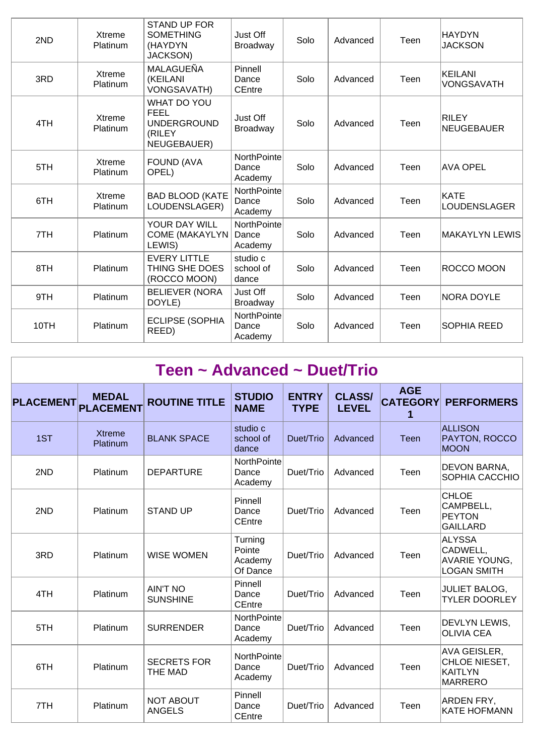| 2ND  | Xtreme<br>Platinum | <b>STAND UP FOR</b><br><b>SOMETHING</b><br>(HAYDYN<br><b>JACKSON)</b>     | Just Off<br><b>Broadway</b>            | Solo | Advanced | Teen | HAYDYN<br>JACKSON            |
|------|--------------------|---------------------------------------------------------------------------|----------------------------------------|------|----------|------|------------------------------|
| 3RD  | Xtreme<br>Platinum | MALAGUEÑA<br>(KEILANI<br><b>VONGSAVATH)</b>                               | Pinnell<br>Dance<br><b>CEntre</b>      | Solo | Advanced | Teen | KEILANI<br><b>VONGSAVATH</b> |
| 4TH  | Xtreme<br>Platinum | WHAT DO YOU<br><b>FEEL</b><br><b>UNDERGROUND</b><br>(RILEY<br>NEUGEBAUER) | Just Off<br>Broadway                   | Solo | Advanced | Teen | <b>RILEY</b><br>NEUGEBAUER   |
| 5TH  | Xtreme<br>Platinum | <b>FOUND (AVA</b><br>OPEL)                                                | <b>NorthPointe</b><br>Dance<br>Academy | Solo | Advanced | Teen | <b>AVA OPEL</b>              |
| 6TH  | Xtreme<br>Platinum | <b>BAD BLOOD (KATE</b><br>LOUDENSLAGER)                                   | <b>NorthPointe</b><br>Dance<br>Academy | Solo | Advanced | Teen | KATE<br>LOUDENSLAGER         |
| 7TH  | Platinum           | <b>YOUR DAY WILL</b><br><b>COME (MAKAYLYN</b><br>LEWIS)                   | <b>NorthPointe</b><br>Dance<br>Academy | Solo | Advanced | Teen | MAKAYLYN LEWIS               |
| 8TH  | Platinum           | <b>EVERY LITTLE</b><br>THING SHE DOES<br>(ROCCO MOON)                     | studio c<br>school of<br>dance         | Solo | Advanced | Teen | <b>ROCCO MOON</b>            |
| 9TH  | Platinum           | <b>BELIEVER (NORA</b><br>DOYLE)                                           | Just Off<br>Broadway                   | Solo | Advanced | Teen | <b>NORA DOYLE</b>            |
| 10TH | Platinum           | <b>ECLIPSE (SOPHIA</b><br>REED)                                           | NorthPointe<br>Dance<br>Academy        | Solo | Advanced | Teen | <b>SOPHIA REED</b>           |

| Teen ~ Advanced ~ Duet/Trio |                                  |                                      |                                          |                             |                               |                                    |                                                                   |  |  |  |  |
|-----------------------------|----------------------------------|--------------------------------------|------------------------------------------|-----------------------------|-------------------------------|------------------------------------|-------------------------------------------------------------------|--|--|--|--|
| <b>PLACEMENT</b>            | <b>MEDAL</b><br><b>PLACEMENT</b> | <b>ROUTINE TITLE</b>                 | <b>STUDIO</b><br><b>NAME</b>             | <b>ENTRY</b><br><b>TYPE</b> | <b>CLASS/</b><br><b>LEVEL</b> | <b>AGE</b><br><b>CATEGORY</b><br>1 | <b>PERFORMERS</b>                                                 |  |  |  |  |
| 1ST                         | <b>Xtreme</b><br>Platinum        | <b>BLANK SPACE</b>                   | studio c<br>school of<br>dance           | Duet/Trio                   | Advanced                      | Teen                               | <b>ALLISON</b><br>PAYTON, ROCCO<br><b>MOON</b>                    |  |  |  |  |
| 2ND                         | Platinum                         | <b>DEPARTURE</b>                     | NorthPointe<br>Dance<br>Academy          | Duet/Trio                   | Advanced                      | Teen                               | <b>DEVON BARNA,</b><br>SOPHIA CACCHIO                             |  |  |  |  |
| 2ND                         | Platinum                         | <b>STAND UP</b>                      | Pinnell<br>Dance<br><b>CEntre</b>        | Duet/Trio                   | Advanced                      | Teen                               | <b>CHLOE</b><br>CAMPBELL,<br><b>PEYTON</b><br><b>GAILLARD</b>     |  |  |  |  |
| 3RD                         | Platinum                         | <b>WISE WOMEN</b>                    | Turning<br>Pointe<br>Academy<br>Of Dance | Duet/Trio                   | Advanced                      | Teen                               | ALYSSA<br>CADWELL,<br><b>AVARIE YOUNG,</b><br><b>LOGAN SMITH</b>  |  |  |  |  |
| 4TH                         | Platinum                         | <b>AIN'T NO</b><br><b>SUNSHINE</b>   | Pinnell<br>Dance<br><b>CEntre</b>        | Duet/Trio                   | Advanced                      | Teen                               | <b>JULIET BALOG,</b><br><b>TYLER DOORLEY</b>                      |  |  |  |  |
| 5TH                         | Platinum                         | <b>SURRENDER</b>                     | NorthPointe<br>Dance<br>Academy          | Duet/Trio                   | Advanced                      | Teen                               | DEVLYN LEWIS,<br><b>OLIVIA CEA</b>                                |  |  |  |  |
| 6TH                         | Platinum                         | <b>SECRETS FOR</b><br><b>THE MAD</b> | NorthPointe<br>Dance<br>Academy          | Duet/Trio                   | Advanced                      | Teen                               | AVA GEISLER,<br>CHLOE NIESET,<br><b>KAITLYN</b><br><b>MARRERO</b> |  |  |  |  |
| 7TH                         | Platinum                         | <b>NOT ABOUT</b><br><b>ANGELS</b>    | Pinnell<br>Dance<br><b>CEntre</b>        | Duet/Trio                   | Advanced                      | Teen                               | ARDEN FRY,<br><b>KATE HOFMANN</b>                                 |  |  |  |  |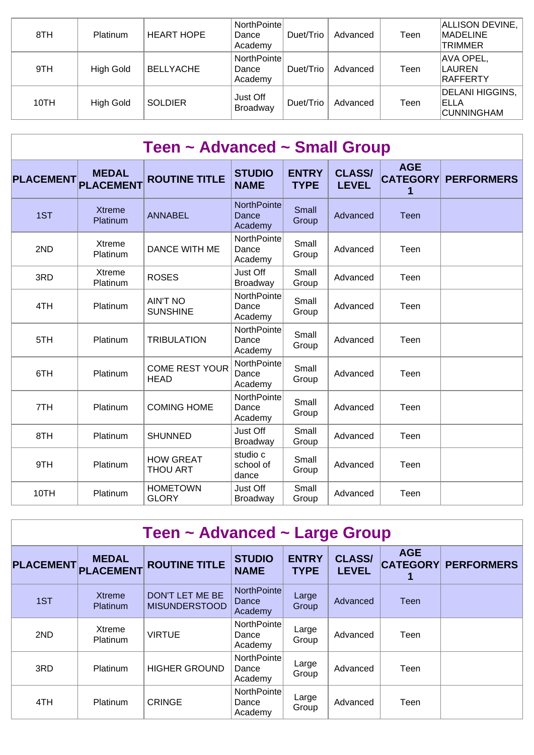| 8TH  | Platinum         | <b>HEART HOPE</b> | NorthPointe<br>Dance<br>Academy | Duet/Trio | Advanced | Teen | <b>ALLISON DEVINE,</b><br><b>MADELINE</b><br><b>TRIMMER</b> |
|------|------------------|-------------------|---------------------------------|-----------|----------|------|-------------------------------------------------------------|
| 9TH  | <b>High Gold</b> | <b>BELLYACHE</b>  | NorthPointe<br>Dance<br>Academy | Duet/Trio | Advanced | Teen | <b>AVA OPEL,</b><br><b>LAUREN</b><br><b>RAFFERTY</b>        |
| 10TH | <b>High Gold</b> | <b>SOLDIER</b>    | Just Off<br>Broadway            | Duet/Trio | Advanced | Teen | <b>DELANI HIGGINS,</b><br><b>ELLA</b><br><b>CUNNINGHAM</b>  |

|                  | Teen ~ Advanced ~ Small Group    |                                      |                                        |                             |                               |                                    |                   |  |  |  |  |  |
|------------------|----------------------------------|--------------------------------------|----------------------------------------|-----------------------------|-------------------------------|------------------------------------|-------------------|--|--|--|--|--|
| <b>PLACEMENT</b> | <b>MEDAL</b><br><b>PLACEMENT</b> | <b>ROUTINE TITLE</b>                 | <b>STUDIO</b><br><b>NAME</b>           | <b>ENTRY</b><br><b>TYPE</b> | <b>CLASS/</b><br><b>LEVEL</b> | <b>AGE</b><br><b>CATEGORY</b><br>1 | <b>PERFORMERS</b> |  |  |  |  |  |
| 1ST              | <b>Xtreme</b><br><b>Platinum</b> | <b>ANNABEL</b>                       | <b>NorthPointe</b><br>Dance<br>Academy | Small<br>Group              | Advanced                      | Teen                               |                   |  |  |  |  |  |
| 2ND              | Xtreme<br>Platinum               | <b>DANCE WITH ME</b>                 | <b>NorthPointe</b><br>Dance<br>Academy | Small<br>Group              | Advanced                      | Teen                               |                   |  |  |  |  |  |
| 3RD              | Xtreme<br>Platinum               | <b>ROSES</b>                         | Just Off<br><b>Broadway</b>            | Small<br>Group              | Advanced                      | Teen                               |                   |  |  |  |  |  |
| 4TH              | <b>Platinum</b>                  | <b>AIN'T NO</b><br><b>SUNSHINE</b>   | <b>NorthPointe</b><br>Dance<br>Academy | Small<br>Group              | Advanced                      | Teen                               |                   |  |  |  |  |  |
| 5TH              | Platinum                         | <b>TRIBULATION</b>                   | NorthPointe<br>Dance<br>Academy        | Small<br>Group              | Advanced                      | Teen                               |                   |  |  |  |  |  |
| 6TH              | Platinum                         | <b>COME REST YOUR</b><br><b>HEAD</b> | NorthPointe<br>Dance<br>Academy        | Small<br>Group              | Advanced                      | Teen                               |                   |  |  |  |  |  |
| 7TH              | Platinum                         | <b>COMING HOME</b>                   | <b>NorthPointe</b><br>Dance<br>Academy | Small<br>Group              | Advanced                      | Teen                               |                   |  |  |  |  |  |
| 8TH              | Platinum                         | <b>SHUNNED</b>                       | Just Off<br><b>Broadway</b>            | Small<br>Group              | Advanced                      | Teen                               |                   |  |  |  |  |  |
| 9TH              | Platinum                         | <b>HOW GREAT</b><br><b>THOU ART</b>  | studio c<br>school of<br>dance         | Small<br>Group              | Advanced                      | Teen                               |                   |  |  |  |  |  |
| 10TH             | Platinum                         | <b>HOMETOWN</b><br><b>GLORY</b>      | Just Off<br><b>Broadway</b>            | Small<br>Group              | Advanced                      | Teen                               |                   |  |  |  |  |  |

| Teen ~ Advanced ~ Large Group |                                  |                                                |                                         |                             |                               |                               |                   |  |  |  |
|-------------------------------|----------------------------------|------------------------------------------------|-----------------------------------------|-----------------------------|-------------------------------|-------------------------------|-------------------|--|--|--|
| <b>PLACEMENT</b>              | <b>MEDAL</b><br><b>PLACEMENT</b> | <b>ROUTINE TITLE</b>                           | <b>STUDIO</b><br><b>NAME</b>            | <b>ENTRY</b><br><b>TYPE</b> | <b>CLASS/</b><br><b>LEVEL</b> | <b>AGE</b><br><b>CATEGORY</b> | <b>PERFORMERS</b> |  |  |  |
| 1ST                           | <b>Xtreme</b><br><b>Platinum</b> | <b>DON'T LET ME BE</b><br><b>MISUNDERSTOOD</b> | <b>NorthPointel</b><br>Dance<br>Academy | Large<br>Group              | Advanced                      | Teen                          |                   |  |  |  |
| 2ND                           | Xtreme<br><b>Platinum</b>        | <b>VIRTUE</b>                                  | NorthPointe<br>Dance<br>Academy         | Large<br>Group              | Advanced                      | Teen                          |                   |  |  |  |
| 3RD                           | Platinum                         | <b>HIGHER GROUND</b>                           | NorthPointe<br>Dance<br>Academy         | Large<br>Group              | Advanced                      | Teen                          |                   |  |  |  |
| 4TH                           | Platinum                         | <b>CRINGE</b>                                  | NorthPointe<br>Dance<br>Academy         | Large<br>Group              | Advanced                      | Teen                          |                   |  |  |  |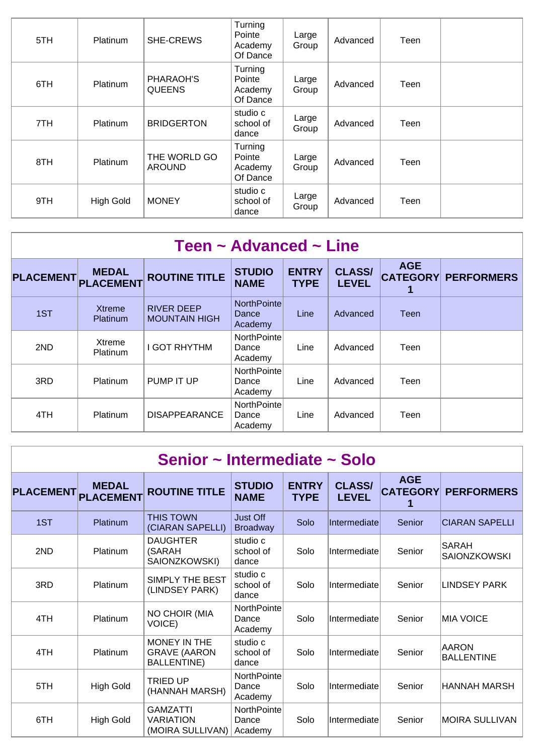| 5TH | <b>Platinum</b>  | SHE-CREWS                     | Turning<br>Pointe<br>Academy<br>Of Dance | Large<br>Group | Advanced | Teen |  |
|-----|------------------|-------------------------------|------------------------------------------|----------------|----------|------|--|
| 6TH | Platinum         | PHARAOH'S<br><b>QUEENS</b>    | Turning<br>Pointe<br>Academy<br>Of Dance | Large<br>Group | Advanced | Teen |  |
| 7TH | <b>Platinum</b>  | <b>BRIDGERTON</b>             | studio c<br>school of<br>dance           | Large<br>Group | Advanced | Teen |  |
| 8TH | <b>Platinum</b>  | THE WORLD GO<br><b>AROUND</b> | Turning<br>Pointe<br>Academy<br>Of Dance | Large<br>Group | Advanced | Teen |  |
| 9TH | <b>High Gold</b> | <b>MONEY</b>                  | studio c<br>school of<br>dance           | Large<br>Group | Advanced | Teen |  |

|                  | Teen $\sim$ Advanced $\sim$ Line |                                           |                                         |                             |                               |            |                            |  |  |  |  |  |
|------------------|----------------------------------|-------------------------------------------|-----------------------------------------|-----------------------------|-------------------------------|------------|----------------------------|--|--|--|--|--|
| <b>PLACEMENT</b> | <b>MEDAL</b><br><b>PLACEMENT</b> | <b>ROUTINE TITLE</b>                      | <b>STUDIO</b><br><b>NAME</b>            | <b>ENTRY</b><br><b>TYPE</b> | <b>CLASS/</b><br><b>LEVEL</b> | <b>AGE</b> | <b>CATEGORY PERFORMERS</b> |  |  |  |  |  |
| 1ST              | Xtreme<br><b>Platinum</b>        | <b>RIVER DEEP</b><br><b>MOUNTAIN HIGH</b> | <b>NorthPointel</b><br>Dance<br>Academy | Line                        | Advanced                      | Teen       |                            |  |  |  |  |  |
| 2ND              | Xtreme<br><b>Platinum</b>        | <b>GOT RHYTHM</b>                         | NorthPointe<br>Dance<br>Academy         | Line                        | Advanced                      | Teen       |                            |  |  |  |  |  |
| 3RD              | <b>Platinum</b>                  | PUMP IT UP                                | NorthPointe<br>Dance<br>Academy         | Line                        | Advanced                      | Teen       |                            |  |  |  |  |  |
| 4TH              | <b>Platinum</b>                  | <b>DISAPPEARANCE</b>                      | NorthPointe<br>Dance<br>Academy         | Line                        | Advanced                      | Teen       |                            |  |  |  |  |  |

| Senior ~ Intermediate ~ Solo |                                  |                                                           |                                 |                             |                               |                               |                                     |  |  |  |
|------------------------------|----------------------------------|-----------------------------------------------------------|---------------------------------|-----------------------------|-------------------------------|-------------------------------|-------------------------------------|--|--|--|
| <b>PLACEMENT</b>             | <b>MEDAL</b><br><b>PLACEMENT</b> | <b>ROUTINE TITLE</b>                                      | <b>STUDIO</b><br><b>NAME</b>    | <b>ENTRY</b><br><b>TYPE</b> | <b>CLASS/</b><br><b>LEVEL</b> | <b>AGE</b><br><b>CATEGORY</b> | <b>PERFORMERS</b>                   |  |  |  |
| 1ST                          | Platinum                         | <b>THIS TOWN</b><br>(CIARAN SAPELLI)                      | Just Off<br><b>Broadway</b>     | Solo                        | Intermediate                  | Senior                        | <b>CIARAN SAPELLI</b>               |  |  |  |
| 2ND                          | Platinum                         | <b>DAUGHTER</b><br>(SARAH<br>SAIONZKOWSKI)                | studio c<br>school of<br>dance  | Solo                        | Intermediate                  | Senior                        | <b>SARAH</b><br><b>SAIONZKOWSKI</b> |  |  |  |
| 3RD                          | Platinum                         | SIMPLY THE BEST<br>(LINDSEY PARK)                         | studio c<br>school of<br>dance  | Solo                        | Intermediate                  | Senior                        | <b>LINDSEY PARK</b>                 |  |  |  |
| 4TH                          | Platinum                         | NO CHOIR (MIA<br>VOICE)                                   | NorthPointe<br>Dance<br>Academy | Solo                        | Intermediate                  | Senior                        | <b>IMIA VOICE</b>                   |  |  |  |
| 4TH                          | Platinum                         | MONEY IN THE<br><b>GRAVE (AARON</b><br><b>BALLENTINE)</b> | studio c<br>school of<br>dance  | Solo                        | Intermediate                  | Senior                        | AARON<br><b>BALLENTINE</b>          |  |  |  |
| 5TH                          | <b>High Gold</b>                 | <b>TRIED UP</b><br>(HANNAH MARSH)                         | NorthPointe<br>Dance<br>Academy | Solo                        | Intermediate                  | Senior                        | HANNAH MARSH                        |  |  |  |
| 6TH                          | <b>High Gold</b>                 | <b>GAMZATTI</b><br><b>VARIATION</b><br>(MOIRA SULLIVAN)   | NorthPointe<br>Dance<br>Academy | Solo                        | Intermediate                  | Senior                        | MOIRA SULLIVAN                      |  |  |  |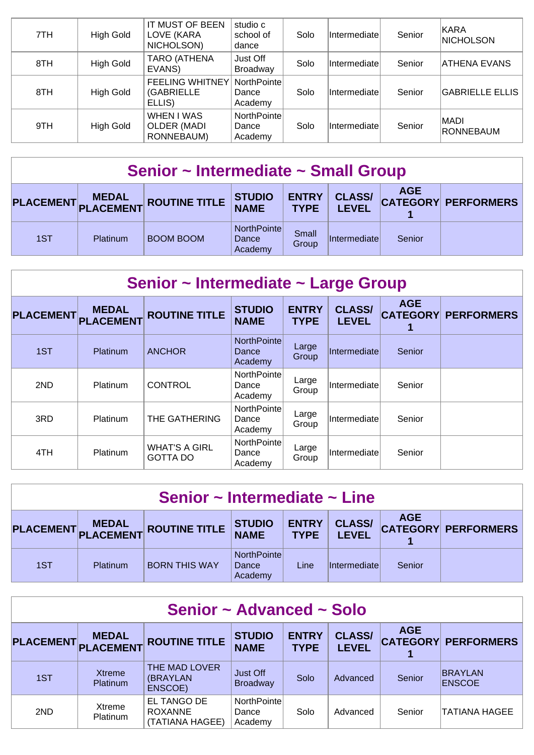| 7TH | High Gold        | IT MUST OF BEEN<br>LOVE (KARA<br>NICHOLSON)           | studio c<br>school of<br>dance   | Solo | Intermediate | Senior | <b>KARA</b><br><b>NICHOLSON</b> |
|-----|------------------|-------------------------------------------------------|----------------------------------|------|--------------|--------|---------------------------------|
| 8TH | <b>High Gold</b> | <b>TARO (ATHENA</b><br>EVANS)                         | Just Off<br><b>Broadway</b>      | Solo | Intermediate | Senior | <b>ATHENA EVANS</b>             |
| 8TH | <b>High Gold</b> | <b>FEELING WHITNEY</b><br><b>(GABRIELLE</b><br>ELLIS) | NorthPointel<br>Dance<br>Academy | Solo | Intermediate | Senior | <b>GABRIELLE ELLIS</b>          |
| 9TH | High Gold        | <b>WHEN I WAS</b><br><b>OLDER (MADI</b><br>RONNEBAUM) | NorthPointe<br>Dance<br>Academy  | Solo | Intermediate | Senior | <b>MADI</b><br><b>RONNEBAUM</b> |

## **Senior ~ Intermediate ~ Small Group**

|     | <b>MEDAL</b>    | PLACEMENT PLACEMENT ROUTINE TITLE | <b>STUDIO</b><br><b>NAME</b>            | <b>ENTRY</b><br><b>TYPE</b> | <b>CLASS/</b><br><b>LEVEL</b> | <b>AGE</b> | <b>CATEGORY PERFORMERS</b> |
|-----|-----------------|-----------------------------------|-----------------------------------------|-----------------------------|-------------------------------|------------|----------------------------|
| 1ST | <b>Platinum</b> | <b>BOOM BOOM</b>                  | <b>NorthPointel</b><br>Dance<br>Academy | Small<br>Group              | Intermediatel                 | Senior     |                            |

| Senior ~ Intermediate ~ Large Group |                                  |                                         |                                 |                             |                               |            |                            |  |  |  |  |
|-------------------------------------|----------------------------------|-----------------------------------------|---------------------------------|-----------------------------|-------------------------------|------------|----------------------------|--|--|--|--|
| <b>PLACEMENT</b>                    | <b>MEDAL</b><br><b>PLACEMENT</b> | <b>ROUTINE TITLE</b>                    | <b>STUDIO</b><br><b>NAME</b>    | <b>ENTRY</b><br><b>TYPE</b> | <b>CLASS/</b><br><b>LEVEL</b> | <b>AGE</b> | <b>CATEGORY PERFORMERS</b> |  |  |  |  |
| 1ST                                 | <b>Platinum</b>                  | <b>ANCHOR</b>                           | NorthPointe<br>Dance<br>Academy | Large<br>Group              | Intermediate                  | Senior     |                            |  |  |  |  |
| 2ND                                 | <b>Platinum</b>                  | <b>CONTROL</b>                          | NorthPointe<br>Dance<br>Academy | Large<br>Group              | Intermediate                  | Senior     |                            |  |  |  |  |
| 3RD                                 | <b>Platinum</b>                  | THE GATHERING                           | NorthPointe<br>Dance<br>Academy | Large<br>Group              | Intermediate                  | Senior     |                            |  |  |  |  |
| 4TH                                 | <b>Platinum</b>                  | <b>WHAT'S A GIRL</b><br><b>GOTTA DO</b> | NorthPointe<br>Dance<br>Academy | Large<br>Group              | Intermediate                  | Senior     |                            |  |  |  |  |

| Senior $\sim$ Intermediate $\sim$ Line |                 |                               |                                 |                             |                               |            |                            |  |  |
|----------------------------------------|-----------------|-------------------------------|---------------------------------|-----------------------------|-------------------------------|------------|----------------------------|--|--|
|                                        |                 | PLACEMENT MEDAL ROUTINE TITLE | <b>STUDIO<br/>NAME</b>          | <b>ENTRY</b><br><b>TYPE</b> | <b>CLASS/</b><br><b>LEVEL</b> | <b>AGE</b> | <b>CATEGORY PERFORMERS</b> |  |  |
| 1ST                                    | <b>Platinum</b> | <b>BORN THIS WAY</b>          | NorthPointe<br>Dance<br>Academy | Line                        | <i>Intermediate</i>           | Senior     |                            |  |  |

| Senior ~ Advanced ~ Solo |                                  |                                                  |                                 |                             |                               |            |                                 |  |  |
|--------------------------|----------------------------------|--------------------------------------------------|---------------------------------|-----------------------------|-------------------------------|------------|---------------------------------|--|--|
| PLACEMENT PLACEMENT      | <b>MEDAL</b>                     | <b>ROUTINE TITLE</b>                             | <b>STUDIO</b><br><b>NAME</b>    | <b>ENTRY</b><br><b>TYPE</b> | <b>CLASS/</b><br><b>LEVEL</b> | <b>AGE</b> | <b>CATEGORY PERFORMERS</b>      |  |  |
| 1ST                      | <b>Xtreme</b><br><b>Platinum</b> | THE MAD LOVER<br>(BRAYLAN<br>ENSCOE)             | Just Off<br><b>Broadway</b>     | Solo                        | Advanced                      | Senior     | <b>BRAYLAN</b><br><b>ENSCOE</b> |  |  |
| 2ND                      | Xtreme<br>Platinum               | EL TANGO DE<br><b>ROXANNE</b><br>(TATIANA HAGEE) | NorthPointe<br>Dance<br>Academy | Solo                        | Advanced                      | Senior     | <b>TATIANA HAGEE</b>            |  |  |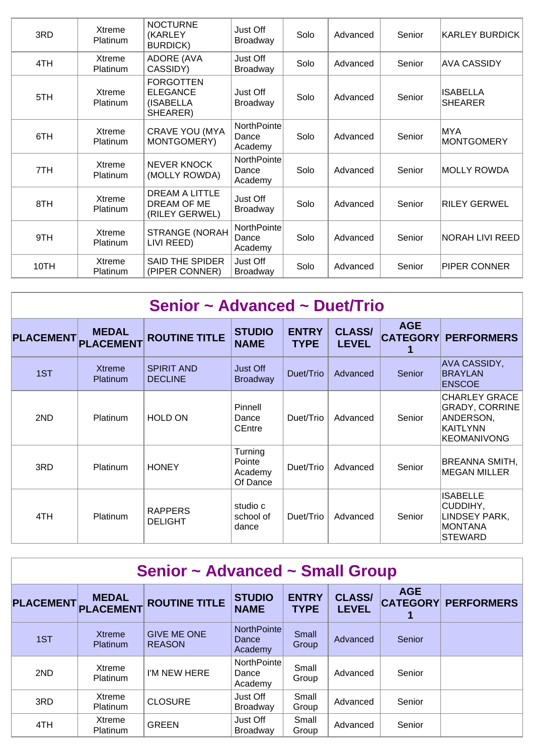| 3RD  | Xtreme<br>Platinum | <b>NOCTURNE</b><br>(KARLEY<br><b>BURDICK)</b>                | Just Off<br><b>Broadway</b>     | Solo | Advanced | Senior | <b>KARLEY BURDICK</b>             |
|------|--------------------|--------------------------------------------------------------|---------------------------------|------|----------|--------|-----------------------------------|
| 4TH  | Xtreme<br>Platinum | <b>ADORE (AVA</b><br>CASSIDY)                                | Just Off<br>Broadway            | Solo | Advanced | Senior | <b>AVA CASSIDY</b>                |
| 5TH  | Xtreme<br>Platinum | <b>FORGOTTEN</b><br><b>ELEGANCE</b><br>(ISABELLA<br>SHEARER) | Just Off<br>Broadway            | Solo | Advanced | Senior | <b>ISABELLA</b><br><b>SHEARER</b> |
| 6TH  | Xtreme<br>Platinum | <b>CRAVE YOU (MYA</b><br>MONTGOMERY)                         | NorthPointe<br>Dance<br>Academy | Solo | Advanced | Senior | MYA<br><b>MONTGOMERY</b>          |
| 7TH  | Xtreme<br>Platinum | <b>NEVER KNOCK</b><br>(MOLLY ROWDA)                          | NorthPointe<br>Dance<br>Academy | Solo | Advanced | Senior | <b>MOLLY ROWDA</b>                |
| 8TH  | Xtreme<br>Platinum | DREAM A LITTLE<br>DREAM OF ME<br>(RILEY GERWEL)              | Just Off<br>Broadway            | Solo | Advanced | Senior | <b>RILEY GERWEL</b>               |
| 9TH  | Xtreme<br>Platinum | <b>STRANGE (NORAH</b><br>LIVI REED)                          | NorthPointe<br>Dance<br>Academy | Solo | Advanced | Senior | NORAH LIVI REED                   |
| 10TH | Xtreme<br>Platinum | <b>SAID THE SPIDER</b><br>(PIPER CONNER)                     | Just Off<br>Broadway            | Solo | Advanced | Senior | <b>PIPER CONNER</b>               |

| Senior ~ Advanced ~ Duet/Trio |                                  |                                     |                                          |                             |                               |                               |                                                                                        |  |  |  |
|-------------------------------|----------------------------------|-------------------------------------|------------------------------------------|-----------------------------|-------------------------------|-------------------------------|----------------------------------------------------------------------------------------|--|--|--|
| <b>PLACEMENT</b>              | <b>MEDAL</b><br><b>PLACEMENT</b> | <b>ROUTINE TITLE</b>                | <b>STUDIO</b><br><b>NAME</b>             | <b>ENTRY</b><br><b>TYPE</b> | <b>CLASS/</b><br><b>LEVEL</b> | <b>AGE</b><br><b>CATEGORY</b> | <b>PERFORMERS</b>                                                                      |  |  |  |
| 1ST                           | <b>Xtreme</b><br><b>Platinum</b> | <b>SPIRIT AND</b><br><b>DECLINE</b> | Just Off<br><b>Broadway</b>              | Duet/Trio                   | Advanced                      | Senior                        | AVA CASSIDY,<br><b>BRAYLAN</b><br><b>ENSCOE</b>                                        |  |  |  |
| 2ND                           | <b>Platinum</b>                  | <b>HOLD ON</b>                      | Pinnell<br>Dance<br><b>CEntre</b>        | Duet/Trio                   | Advanced                      | Senior                        | CHARLEY GRACE <br><b>GRADY, CORRINE</b><br>ANDERSON,<br>KAITLYNN<br><b>KEOMANIVONG</b> |  |  |  |
| 3RD                           | <b>Platinum</b>                  | <b>HONEY</b>                        | Turning<br>Pointe<br>Academy<br>Of Dance | Duet/Trio                   | Advanced                      | Senior                        | <b>BREANNA SMITH,</b><br><b>MEGAN MILLER</b>                                           |  |  |  |
| 4TH                           | Platinum                         | <b>RAPPERS</b><br><b>DELIGHT</b>    | studio c<br>school of<br>dance           | Duet/Trio                   | Advanced                      | Senior                        | <b>ISABELLE</b><br>CUDDIHY,<br><b>LINDSEY PARK,</b><br>MONTANA<br><b>STEWARD</b>       |  |  |  |

| Senior ~ Advanced ~ Small Group |                                     |                                     |                                 |                             |                               |            |                            |  |  |  |
|---------------------------------|-------------------------------------|-------------------------------------|---------------------------------|-----------------------------|-------------------------------|------------|----------------------------|--|--|--|
|                                 | <b>MEDAL</b><br>PLACEMENT PLACEMENT | <b>ROUTINE TITLE</b>                | <b>STUDIO</b><br><b>NAME</b>    | <b>ENTRY</b><br><b>TYPE</b> | <b>CLASS/</b><br><b>LEVEL</b> | <b>AGE</b> | <b>CATEGORY PERFORMERS</b> |  |  |  |
| 1ST                             | <b>Xtreme</b><br><b>Platinum</b>    | <b>GIVE ME ONE</b><br><b>REASON</b> | NorthPointe<br>Dance<br>Academy | Small<br>Group              | Advanced                      | Senior     |                            |  |  |  |
| 2ND                             | Xtreme<br><b>Platinum</b>           | I'M NEW HERE                        | NorthPointe<br>Dance<br>Academy | Small<br>Group              | Advanced                      | Senior     |                            |  |  |  |
| 3RD                             | Xtreme<br><b>Platinum</b>           | <b>CLOSURE</b>                      | Just Off<br><b>Broadway</b>     | Small<br>Group              | Advanced                      | Senior     |                            |  |  |  |
| 4TH                             | Xtreme<br><b>Platinum</b>           | <b>GREEN</b>                        | Just Off<br><b>Broadway</b>     | Small<br>Group              | Advanced                      | Senior     |                            |  |  |  |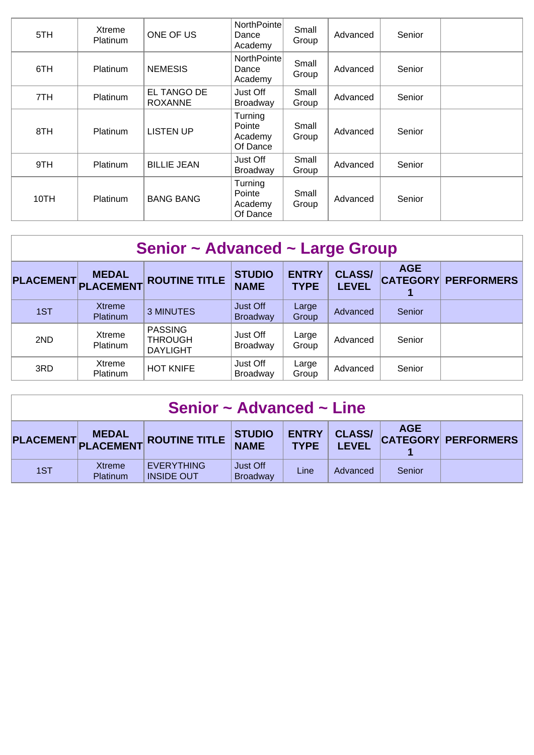| 5TH  | Xtreme<br><b>Platinum</b> | ONE OF US                     | NorthPointe<br>Dance<br>Academy          | Small<br>Group | Advanced | Senior |  |
|------|---------------------------|-------------------------------|------------------------------------------|----------------|----------|--------|--|
| 6TH  | Platinum                  | <b>NEMESIS</b>                | NorthPointe<br>Dance<br>Academy          | Small<br>Group | Advanced | Senior |  |
| 7TH  | <b>Platinum</b>           | EL TANGO DE<br><b>ROXANNE</b> | Just Off<br>Broadway                     | Small<br>Group | Advanced | Senior |  |
| 8TH  | <b>Platinum</b>           | <b>LISTEN UP</b>              | Turning<br>Pointe<br>Academy<br>Of Dance | Small<br>Group | Advanced | Senior |  |
| 9TH  | <b>Platinum</b>           | <b>BILLIE JEAN</b>            | Just Off<br>Broadway                     | Small<br>Group | Advanced | Senior |  |
| 10TH | <b>Platinum</b>           | <b>BANG BANG</b>              | Turning<br>Pointe<br>Academy<br>Of Dance | Small<br>Group | Advanced | Senior |  |

| Senior ~ Advanced ~ Large Group |                                  |                                                     |                              |                             |                               |                               |                   |  |  |  |
|---------------------------------|----------------------------------|-----------------------------------------------------|------------------------------|-----------------------------|-------------------------------|-------------------------------|-------------------|--|--|--|
| <b>PLACEMENT</b>                | <b>MEDAL</b><br><b>PLACEMENT</b> | <b>ROUTINE TITLE</b>                                | <b>STUDIO</b><br><b>NAME</b> | <b>ENTRY</b><br><b>TYPE</b> | <b>CLASS/</b><br><b>LEVEL</b> | <b>AGE</b><br><b>CATEGORY</b> | <b>PERFORMERS</b> |  |  |  |
| 1ST                             | <b>Xtreme</b><br><b>Platinum</b> | <b>3 MINUTES</b>                                    | Just Off<br><b>Broadway</b>  | Large<br>Group              | Advanced                      | Senior                        |                   |  |  |  |
| 2ND                             | Xtreme<br><b>Platinum</b>        | <b>PASSING</b><br><b>THROUGH</b><br><b>DAYLIGHT</b> | Just Off<br><b>Broadway</b>  | Large<br>Group              | Advanced                      | Senior                        |                   |  |  |  |
| 3RD                             | Xtreme<br>Platinum               | <b>HOT KNIFE</b>                                    | Just Off<br><b>Broadway</b>  | Large<br>Group              | Advanced                      | Senior                        |                   |  |  |  |

| Senior $\sim$ Advanced $\sim$ Line |                    |                                 |                             |                             |                               |            |                            |  |  |
|------------------------------------|--------------------|---------------------------------|-----------------------------|-----------------------------|-------------------------------|------------|----------------------------|--|--|
|                                    |                    | PLACEMENT MEDAL ROUTINE TITLE   | STUDIO<br>NAME              | <b>ENTRY</b><br><b>TYPE</b> | <b>CLASS/</b><br><b>LEVEL</b> | <b>AGE</b> | <b>CATEGORY PERFORMERS</b> |  |  |
| 1ST                                | Xtreme<br>Platinum | EVERYTHING<br><b>INSIDE OUT</b> | Just Off<br><b>Broadway</b> | Line                        | Advanced                      | Senior     |                            |  |  |